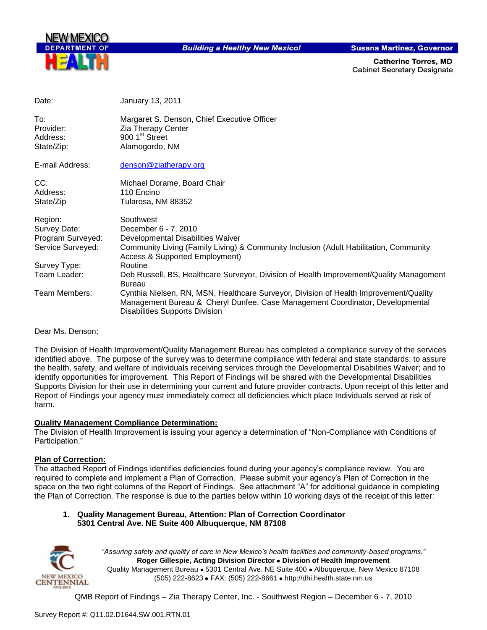

**Building a Healthy New Mexico!** 

**Susana Martinez, Governor** 

**Catherine Torres, MD Cabinet Secretary Designate** 

| Date:                                      | January 13, 2011                                                                                                                                                                                                |
|--------------------------------------------|-----------------------------------------------------------------------------------------------------------------------------------------------------------------------------------------------------------------|
| To:<br>Provider:<br>Address:<br>State/Zip: | Margaret S. Denson, Chief Executive Officer<br>Zia Therapy Center<br>900 1 <sup>st</sup> Street<br>Alamogordo, NM                                                                                               |
| E-mail Address:                            | denson@ziatherapy.org                                                                                                                                                                                           |
| CC:                                        | Michael Dorame, Board Chair                                                                                                                                                                                     |
| Address:<br>State/Zip                      | 110 Encino<br>Tularosa, NM 88352                                                                                                                                                                                |
| Region:                                    | Southwest                                                                                                                                                                                                       |
| Survey Date:                               | December 6 - 7, 2010                                                                                                                                                                                            |
| Program Surveyed:<br>Service Surveyed:     | Developmental Disabilities Waiver<br>Community Living (Family Living) & Community Inclusion (Adult Habilitation, Community                                                                                      |
|                                            | <b>Access &amp; Supported Employment)</b>                                                                                                                                                                       |
| Survey Type:                               | Routine                                                                                                                                                                                                         |
| Team Leader:                               | Deb Russell, BS, Healthcare Surveyor, Division of Health Improvement/Quality Management<br>Bureau                                                                                                               |
| Team Members:                              | Cynthia Nielsen, RN, MSN, Healthcare Surveyor, Division of Health Improvement/Quality<br>Management Bureau & Cheryl Dunfee, Case Management Coordinator, Developmental<br><b>Disabilities Supports Division</b> |

Dear Ms. Denson;

The Division of Health Improvement/Quality Management Bureau has completed a compliance survey of the services identified above. The purpose of the survey was to determine compliance with federal and state standards; to assure the health, safety, and welfare of individuals receiving services through the Developmental Disabilities Waiver; and to identify opportunities for improvement. This Report of Findings will be shared with the Developmental Disabilities Supports Division for their use in determining your current and future provider contracts. Upon receipt of this letter and Report of Findings your agency must immediately correct all deficiencies which place Individuals served at risk of harm.

#### **Quality Management Compliance Determination:**

The Division of Health Improvement is issuing your agency a determination of "Non-Compliance with Conditions of Participation."

#### **Plan of Correction:**

The attached Report of Findings identifies deficiencies found during your agency"s compliance review. You are required to complete and implement a Plan of Correction. Please submit your agency"s Plan of Correction in the space on the two right columns of the Report of Findings. See attachment "A" for additional guidance in completing the Plan of Correction. The response is due to the parties below within 10 working days of the receipt of this letter:

#### **1. Quality Management Bureau, Attention: Plan of Correction Coordinator 5301 Central Ave. NE Suite 400 Albuquerque, NM 87108**



*"Assuring safety and quality of care in New Mexico's health facilities and community-based programs."* **Roger Gillespie, Acting Division Director Division of Health Improvement**  Quality Management Bureau • 5301 Central Ave. NE Suite 400 • Albuquerque, New Mexico 87108 (505) 222-8623 • FAX: (505) 222-8661 • http://dhi.health.state.nm.us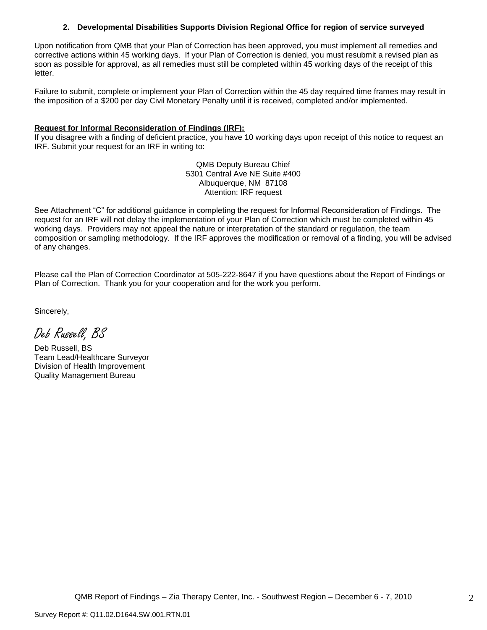#### **2. Developmental Disabilities Supports Division Regional Office for region of service surveyed**

Upon notification from QMB that your Plan of Correction has been approved, you must implement all remedies and corrective actions within 45 working days. If your Plan of Correction is denied, you must resubmit a revised plan as soon as possible for approval, as all remedies must still be completed within 45 working days of the receipt of this letter.

Failure to submit, complete or implement your Plan of Correction within the 45 day required time frames may result in the imposition of a \$200 per day Civil Monetary Penalty until it is received, completed and/or implemented.

#### **Request for Informal Reconsideration of Findings (IRF):**

If you disagree with a finding of deficient practice, you have 10 working days upon receipt of this notice to request an IRF. Submit your request for an IRF in writing to:

> QMB Deputy Bureau Chief 5301 Central Ave NE Suite #400 Albuquerque, NM 87108 Attention: IRF request

See Attachment "C" for additional guidance in completing the request for Informal Reconsideration of Findings. The request for an IRF will not delay the implementation of your Plan of Correction which must be completed within 45 working days. Providers may not appeal the nature or interpretation of the standard or regulation, the team composition or sampling methodology. If the IRF approves the modification or removal of a finding, you will be advised of any changes.

Please call the Plan of Correction Coordinator at 505-222-8647 if you have questions about the Report of Findings or Plan of Correction. Thank you for your cooperation and for the work you perform.

Sincerely,

Deb Russell, BS

Deb Russell, BS Team Lead/Healthcare Surveyor Division of Health Improvement Quality Management Bureau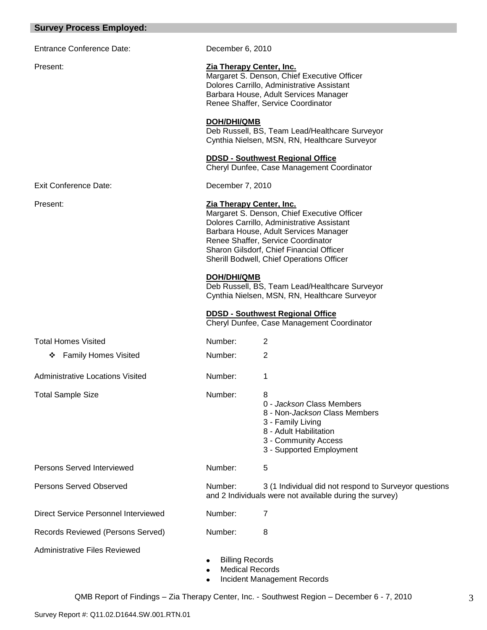### **Survey Process Employed:**

| <b>Entrance Conference Date:</b>        | December 6, 2010       |                                                                                                                                                                                                                                                                                                                                                                                                                                                                                           |
|-----------------------------------------|------------------------|-------------------------------------------------------------------------------------------------------------------------------------------------------------------------------------------------------------------------------------------------------------------------------------------------------------------------------------------------------------------------------------------------------------------------------------------------------------------------------------------|
| Present:                                |                        | Zia Therapy Center, Inc.<br>Margaret S. Denson, Chief Executive Officer<br>Dolores Carrillo, Administrative Assistant<br>Barbara House, Adult Services Manager<br>Renee Shaffer, Service Coordinator                                                                                                                                                                                                                                                                                      |
|                                         | <b>DOH/DHI/QMB</b>     | Deb Russell, BS, Team Lead/Healthcare Surveyor<br>Cynthia Nielsen, MSN, RN, Healthcare Surveyor                                                                                                                                                                                                                                                                                                                                                                                           |
|                                         |                        | <b>DDSD - Southwest Regional Office</b><br>Cheryl Dunfee, Case Management Coordinator                                                                                                                                                                                                                                                                                                                                                                                                     |
| <b>Exit Conference Date:</b>            | December 7, 2010       |                                                                                                                                                                                                                                                                                                                                                                                                                                                                                           |
| Present:                                | <b>DOH/DHI/QMB</b>     | Zia Therapy Center, Inc.<br>Margaret S. Denson, Chief Executive Officer<br>Dolores Carrillo, Administrative Assistant<br>Barbara House, Adult Services Manager<br>Renee Shaffer, Service Coordinator<br>Sharon Gilsdorf, Chief Financial Officer<br>Sherill Bodwell, Chief Operations Officer<br>Deb Russell, BS, Team Lead/Healthcare Surveyor<br>Cynthia Nielsen, MSN, RN, Healthcare Surveyor<br><b>DDSD - Southwest Regional Office</b><br>Cheryl Dunfee, Case Management Coordinator |
| <b>Total Homes Visited</b>              | Number:                | 2                                                                                                                                                                                                                                                                                                                                                                                                                                                                                         |
| <b>Family Homes Visited</b><br>❖        | Number:                | $\overline{2}$                                                                                                                                                                                                                                                                                                                                                                                                                                                                            |
| <b>Administrative Locations Visited</b> | Number:                | 1                                                                                                                                                                                                                                                                                                                                                                                                                                                                                         |
| <b>Total Sample Size</b>                | Number:                | 8<br>0 - Jackson Class Members<br>8 - Non-Jackson Class Members<br>3 - Family Living<br>8 - Adult Habilitation<br>3 - Community Access<br>3 - Supported Employment                                                                                                                                                                                                                                                                                                                        |
| Persons Served Interviewed              | Number:                | 5                                                                                                                                                                                                                                                                                                                                                                                                                                                                                         |
| <b>Persons Served Observed</b>          | Number:                | 3 (1 Individual did not respond to Surveyor questions<br>and 2 Individuals were not available during the survey)                                                                                                                                                                                                                                                                                                                                                                          |
| Direct Service Personnel Interviewed    | Number:                | 7                                                                                                                                                                                                                                                                                                                                                                                                                                                                                         |
| Records Reviewed (Persons Served)       | Number:                | 8                                                                                                                                                                                                                                                                                                                                                                                                                                                                                         |
| <b>Administrative Files Reviewed</b>    | <b>Billing Records</b> | <b>Medical Records</b>                                                                                                                                                                                                                                                                                                                                                                                                                                                                    |

• Incident Management Records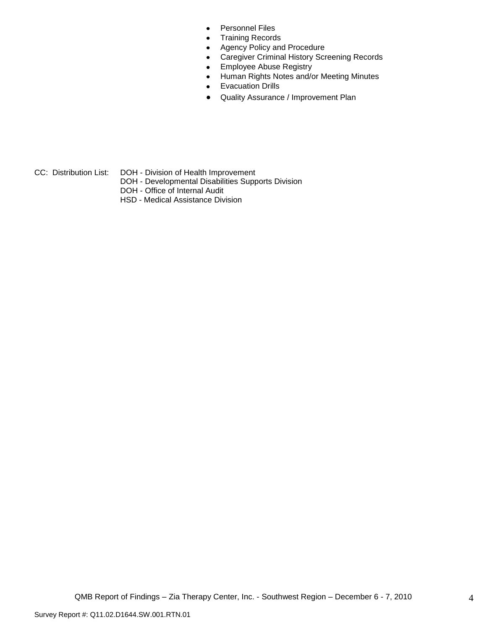- Personnel Files  $\bullet$
- $\bullet$ Training Records
- Agency Policy and Procedure  $\bullet$
- Caregiver Criminal History Screening Records  $\bullet$
- Employee Abuse Registry  $\bullet$
- Human Rights Notes and/or Meeting Minutes  $\bullet$
- Evacuation Drills  $\bullet$
- Quality Assurance / Improvement Plan  $\bullet$

- 
- CC: Distribution List: DOH Division of Health Improvement
	- DOH Developmental Disabilities Supports Division
	- DOH Office of Internal Audit
	- HSD Medical Assistance Division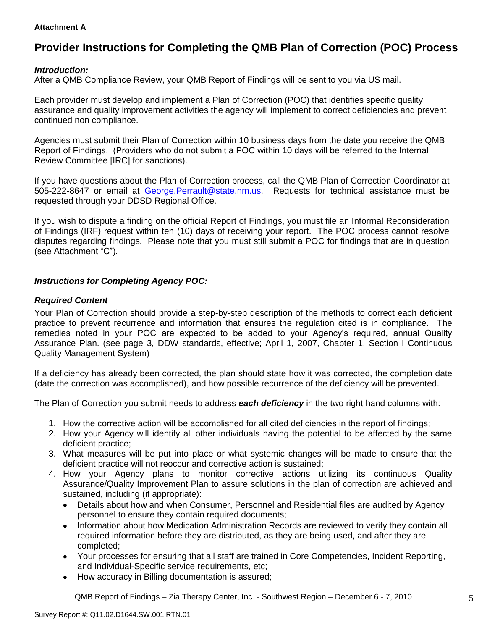#### **Attachment A**

# **Provider Instructions for Completing the QMB Plan of Correction (POC) Process**

#### *Introduction:*

After a QMB Compliance Review, your QMB Report of Findings will be sent to you via US mail.

Each provider must develop and implement a Plan of Correction (POC) that identifies specific quality assurance and quality improvement activities the agency will implement to correct deficiencies and prevent continued non compliance.

Agencies must submit their Plan of Correction within 10 business days from the date you receive the QMB Report of Findings. (Providers who do not submit a POC within 10 days will be referred to the Internal Review Committee [IRC] for sanctions).

If you have questions about the Plan of Correction process, call the QMB Plan of Correction Coordinator at 505-222-8647 or email at George.Perrault@state.nm.us. Requests for technical assistance must be requested through your DDSD Regional Office.

If you wish to dispute a finding on the official Report of Findings, you must file an Informal Reconsideration of Findings (IRF) request within ten (10) days of receiving your report. The POC process cannot resolve disputes regarding findings. Please note that you must still submit a POC for findings that are in question (see Attachment "C").

#### *Instructions for Completing Agency POC:*

#### *Required Content*

Your Plan of Correction should provide a step-by-step description of the methods to correct each deficient practice to prevent recurrence and information that ensures the regulation cited is in compliance. The remedies noted in your POC are expected to be added to your Agency"s required, annual Quality Assurance Plan. (see page 3, DDW standards, effective; April 1, 2007, Chapter 1, Section I Continuous Quality Management System)

If a deficiency has already been corrected, the plan should state how it was corrected, the completion date (date the correction was accomplished), and how possible recurrence of the deficiency will be prevented.

The Plan of Correction you submit needs to address *each deficiency* in the two right hand columns with:

- 1. How the corrective action will be accomplished for all cited deficiencies in the report of findings;
- 2. How your Agency will identify all other individuals having the potential to be affected by the same deficient practice;
- 3. What measures will be put into place or what systemic changes will be made to ensure that the deficient practice will not reoccur and corrective action is sustained;
- 4. How your Agency plans to monitor corrective actions utilizing its continuous Quality Assurance/Quality Improvement Plan to assure solutions in the plan of correction are achieved and sustained, including (if appropriate):
	- Details about how and when Consumer, Personnel and Residential files are audited by Agency  $\bullet$ personnel to ensure they contain required documents;
	- Information about how Medication Administration Records are reviewed to verify they contain all  $\bullet$ required information before they are distributed, as they are being used, and after they are completed;
	- Your processes for ensuring that all staff are trained in Core Competencies, Incident Reporting, and Individual-Specific service requirements, etc;
	- How accuracy in Billing documentation is assured;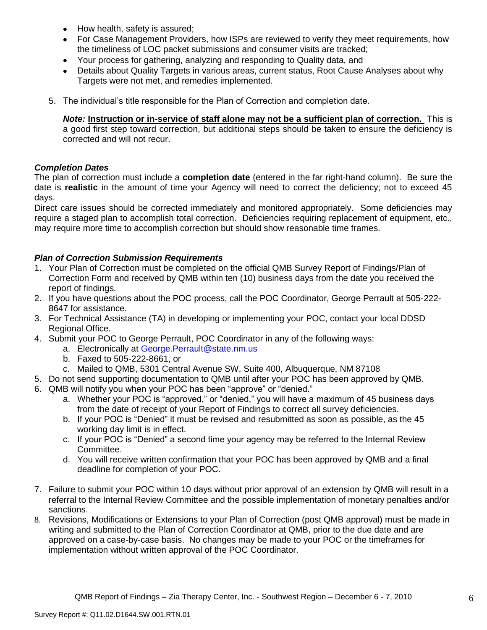- How health, safety is assured;  $\bullet$
- For Case Management Providers, how ISPs are reviewed to verify they meet requirements, how the timeliness of LOC packet submissions and consumer visits are tracked;
- $\bullet$ Your process for gathering, analyzing and responding to Quality data, and
- Details about Quality Targets in various areas, current status, Root Cause Analyses about why Targets were not met, and remedies implemented.
- 5. The individual"s title responsible for the Plan of Correction and completion date.

*Note:* **Instruction or in-service of staff alone may not be a sufficient plan of correction.** This is a good first step toward correction, but additional steps should be taken to ensure the deficiency is corrected and will not recur.

#### *Completion Dates*

The plan of correction must include a **completion date** (entered in the far right-hand column). Be sure the date is **realistic** in the amount of time your Agency will need to correct the deficiency; not to exceed 45 days.

Direct care issues should be corrected immediately and monitored appropriately. Some deficiencies may require a staged plan to accomplish total correction. Deficiencies requiring replacement of equipment, etc., may require more time to accomplish correction but should show reasonable time frames.

#### *Plan of Correction Submission Requirements*

- 1. Your Plan of Correction must be completed on the official QMB Survey Report of Findings/Plan of Correction Form and received by QMB within ten (10) business days from the date you received the report of findings.
- 2. If you have questions about the POC process, call the POC Coordinator, George Perrault at 505-222- 8647 for assistance.
- 3. For Technical Assistance (TA) in developing or implementing your POC, contact your local DDSD Regional Office.
- 4. Submit your POC to George Perrault, POC Coordinator in any of the following ways:
	- a. Electronically at [George.Perrault@state.nm.us](mailto:George.Perrault@state.nm.us)
	- b. Faxed to 505-222-8661, or
	- c. Mailed to QMB, 5301 Central Avenue SW, Suite 400, Albuquerque, NM 87108
- 5. Do not send supporting documentation to QMB until after your POC has been approved by QMB.
- 6. QMB will notify you when your POC has been "approve" or "denied."
	- a. Whether your POC is "approved," or "denied," you will have a maximum of 45 business days from the date of receipt of your Report of Findings to correct all survey deficiencies.
	- b. If your POC is "Denied" it must be revised and resubmitted as soon as possible, as the 45 working day limit is in effect.
	- c. If your POC is "Denied" a second time your agency may be referred to the Internal Review Committee.
	- d. You will receive written confirmation that your POC has been approved by QMB and a final deadline for completion of your POC.
- 7. Failure to submit your POC within 10 days without prior approval of an extension by QMB will result in a referral to the Internal Review Committee and the possible implementation of monetary penalties and/or sanctions.
- 8. Revisions, Modifications or Extensions to your Plan of Correction (post QMB approval) must be made in writing and submitted to the Plan of Correction Coordinator at QMB, prior to the due date and are approved on a case-by-case basis. No changes may be made to your POC or the timeframes for implementation without written approval of the POC Coordinator.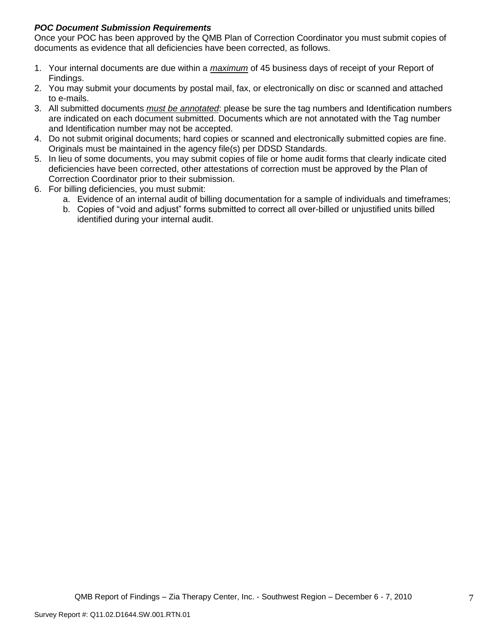#### *POC Document Submission Requirements*

Once your POC has been approved by the QMB Plan of Correction Coordinator you must submit copies of documents as evidence that all deficiencies have been corrected, as follows.

- 1. Your internal documents are due within a *maximum* of 45 business days of receipt of your Report of Findings.
- 2. You may submit your documents by postal mail, fax, or electronically on disc or scanned and attached to e-mails.
- 3. All submitted documents *must be annotated*: please be sure the tag numbers and Identification numbers are indicated on each document submitted. Documents which are not annotated with the Tag number and Identification number may not be accepted.
- 4. Do not submit original documents; hard copies or scanned and electronically submitted copies are fine. Originals must be maintained in the agency file(s) per DDSD Standards.
- 5. In lieu of some documents, you may submit copies of file or home audit forms that clearly indicate cited deficiencies have been corrected, other attestations of correction must be approved by the Plan of Correction Coordinator prior to their submission.
- 6. For billing deficiencies, you must submit:
	- a. Evidence of an internal audit of billing documentation for a sample of individuals and timeframes;
	- b. Copies of "void and adjust" forms submitted to correct all over-billed or unjustified units billed identified during your internal audit.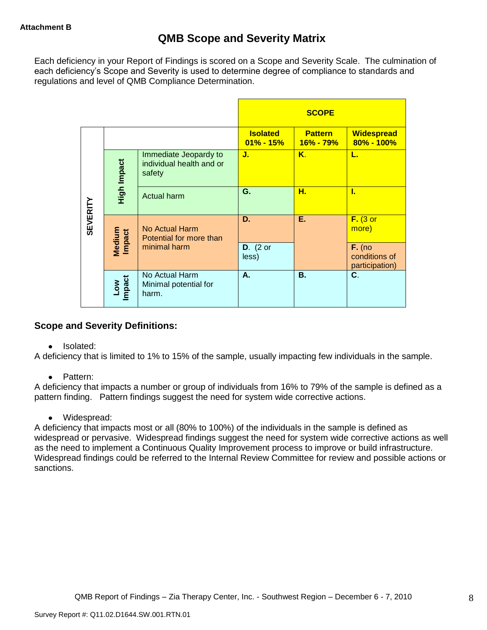Each deficiency in your Report of Findings is scored on a Scope and Severity Scale. The culmination of each deficiency"s Scope and Severity is used to determine degree of compliance to standards and regulations and level of QMB Compliance Determination.

|                 |                      |                                                             |                                  | <b>SCOPE</b>                |                                             |
|-----------------|----------------------|-------------------------------------------------------------|----------------------------------|-----------------------------|---------------------------------------------|
|                 |                      |                                                             | <b>Isolated</b><br>$01\% - 15\%$ | <b>Pattern</b><br>16% - 79% | <b>Widespread</b><br>$80\% - 100\%$         |
|                 | High Impact          | Immediate Jeopardy to<br>individual health and or<br>safety | J.                               | Κ.                          | L.                                          |
|                 |                      | <b>Actual harm</b>                                          | G.                               | н.                          | L                                           |
| <b>SEVERITY</b> | Medium<br>Impact     | No Actual Harm<br>Potential for more than                   | D.                               | Е.                          | $F.$ (3 or<br>more)                         |
|                 |                      | minimal harm                                                | $D.$ (2 or<br>less)              |                             | $F.$ (no<br>conditions of<br>participation) |
|                 | <b>Impact</b><br>Low | No Actual Harm<br>Minimal potential for<br>harm.            | А.                               | <b>B.</b>                   | C.                                          |

## **Scope and Severity Definitions:**

• Isolated:

A deficiency that is limited to 1% to 15% of the sample, usually impacting few individuals in the sample.

• Pattern:

A deficiency that impacts a number or group of individuals from 16% to 79% of the sample is defined as a pattern finding. Pattern findings suggest the need for system wide corrective actions.

• Widespread:

A deficiency that impacts most or all (80% to 100%) of the individuals in the sample is defined as widespread or pervasive. Widespread findings suggest the need for system wide corrective actions as well as the need to implement a Continuous Quality Improvement process to improve or build infrastructure. Widespread findings could be referred to the Internal Review Committee for review and possible actions or sanctions.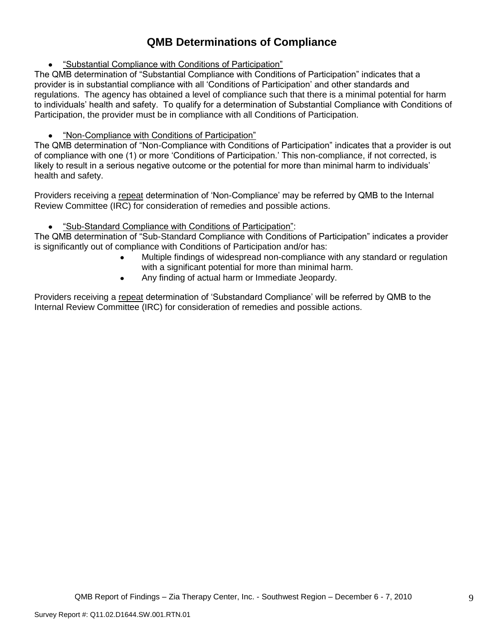# **QMB Determinations of Compliance**

"Substantial Compliance with Conditions of Participation"

The QMB determination of "Substantial Compliance with Conditions of Participation" indicates that a provider is in substantial compliance with all "Conditions of Participation" and other standards and regulations. The agency has obtained a level of compliance such that there is a minimal potential for harm to individuals" health and safety. To qualify for a determination of Substantial Compliance with Conditions of Participation, the provider must be in compliance with all Conditions of Participation.

#### "Non-Compliance with Conditions of Participation"

The QMB determination of "Non-Compliance with Conditions of Participation" indicates that a provider is out of compliance with one (1) or more "Conditions of Participation." This non-compliance, if not corrected, is likely to result in a serious negative outcome or the potential for more than minimal harm to individuals' health and safety.

Providers receiving a repeat determination of 'Non-Compliance' may be referred by QMB to the Internal Review Committee (IRC) for consideration of remedies and possible actions.

#### $\bullet$ "Sub-Standard Compliance with Conditions of Participation":

The QMB determination of "Sub-Standard Compliance with Conditions of Participation" indicates a provider is significantly out of compliance with Conditions of Participation and/or has:

- Multiple findings of widespread non-compliance with any standard or regulation with a significant potential for more than minimal harm.
- Any finding of actual harm or Immediate Jeopardy.  $\bullet$

Providers receiving a repeat determination of 'Substandard Compliance' will be referred by QMB to the Internal Review Committee (IRC) for consideration of remedies and possible actions.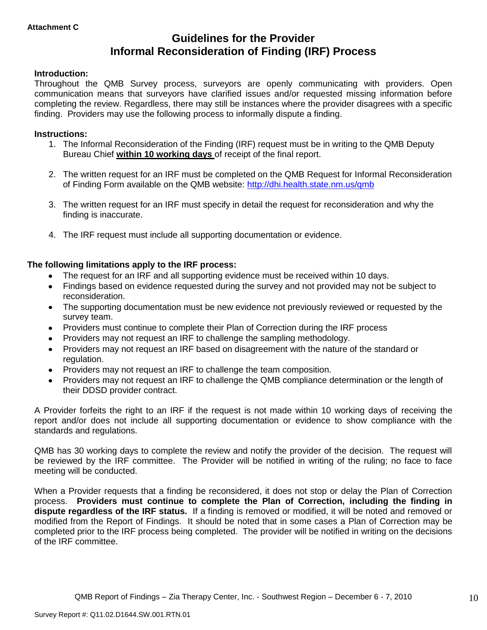# **Guidelines for the Provider Informal Reconsideration of Finding (IRF) Process**

#### **Introduction:**

Throughout the QMB Survey process, surveyors are openly communicating with providers. Open communication means that surveyors have clarified issues and/or requested missing information before completing the review. Regardless, there may still be instances where the provider disagrees with a specific finding. Providers may use the following process to informally dispute a finding.

#### **Instructions:**

- 1. The Informal Reconsideration of the Finding (IRF) request must be in writing to the QMB Deputy Bureau Chief **within 10 working days** of receipt of the final report.
- 2. The written request for an IRF must be completed on the QMB Request for Informal Reconsideration of Finding Form available on the QMB website:<http://dhi.health.state.nm.us/qmb>
- 3. The written request for an IRF must specify in detail the request for reconsideration and why the finding is inaccurate.
- 4. The IRF request must include all supporting documentation or evidence.

#### **The following limitations apply to the IRF process:**

- The request for an IRF and all supporting evidence must be received within 10 days.
- Findings based on evidence requested during the survey and not provided may not be subject to reconsideration.
- The supporting documentation must be new evidence not previously reviewed or requested by the survey team.
- Providers must continue to complete their Plan of Correction during the IRF process  $\bullet$
- Providers may not request an IRF to challenge the sampling methodology.
- Providers may not request an IRF based on disagreement with the nature of the standard or  $\bullet$ regulation.
- Providers may not request an IRF to challenge the team composition.
- Providers may not request an IRF to challenge the QMB compliance determination or the length of  $\bullet$ their DDSD provider contract.

A Provider forfeits the right to an IRF if the request is not made within 10 working days of receiving the report and/or does not include all supporting documentation or evidence to show compliance with the standards and regulations.

QMB has 30 working days to complete the review and notify the provider of the decision. The request will be reviewed by the IRF committee. The Provider will be notified in writing of the ruling; no face to face meeting will be conducted.

When a Provider requests that a finding be reconsidered, it does not stop or delay the Plan of Correction process. **Providers must continue to complete the Plan of Correction, including the finding in dispute regardless of the IRF status.** If a finding is removed or modified, it will be noted and removed or modified from the Report of Findings. It should be noted that in some cases a Plan of Correction may be completed prior to the IRF process being completed. The provider will be notified in writing on the decisions of the IRF committee.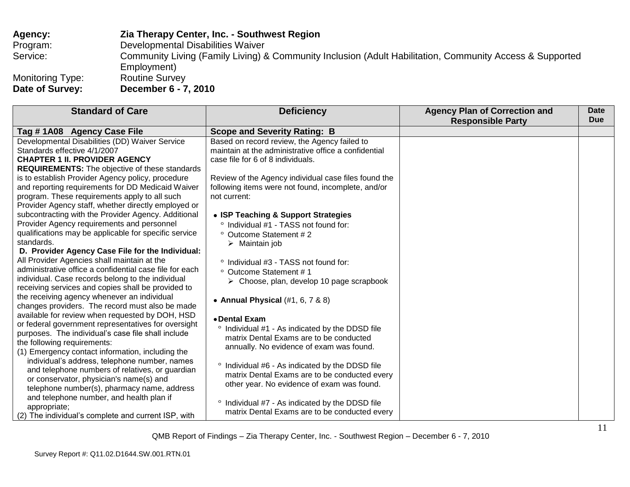| Agency:                 | Zia Therapy Center, Inc. - Southwest Region                                                                             |
|-------------------------|-------------------------------------------------------------------------------------------------------------------------|
| Program:                | Developmental Disabilities Waiver                                                                                       |
| Service:                | Community Living (Family Living) & Community Inclusion (Adult Habilitation, Community Access & Supported<br>Employment) |
| <b>Monitoring Type:</b> | <b>Routine Survey</b>                                                                                                   |
| Date of Survey:         | December 6 - 7, 2010                                                                                                    |

| <b>Standard of Care</b>                                 | <b>Deficiency</b>                                        | <b>Agency Plan of Correction and</b> | Date<br><b>Due</b> |
|---------------------------------------------------------|----------------------------------------------------------|--------------------------------------|--------------------|
|                                                         |                                                          | <b>Responsible Party</b>             |                    |
| Tag #1A08 Agency Case File                              | <b>Scope and Severity Rating: B</b>                      |                                      |                    |
| Developmental Disabilities (DD) Waiver Service          | Based on record review, the Agency failed to             |                                      |                    |
| Standards effective 4/1/2007                            | maintain at the administrative office a confidential     |                                      |                    |
| <b>CHAPTER 1 II. PROVIDER AGENCY</b>                    | case file for 6 of 8 individuals.                        |                                      |                    |
| <b>REQUIREMENTS:</b> The objective of these standards   |                                                          |                                      |                    |
| is to establish Provider Agency policy, procedure       | Review of the Agency individual case files found the     |                                      |                    |
| and reporting requirements for DD Medicaid Waiver       | following items were not found, incomplete, and/or       |                                      |                    |
| program. These requirements apply to all such           | not current:                                             |                                      |                    |
| Provider Agency staff, whether directly employed or     |                                                          |                                      |                    |
| subcontracting with the Provider Agency. Additional     | • ISP Teaching & Support Strategies                      |                                      |                    |
| Provider Agency requirements and personnel              | ° Individual #1 - TASS not found for:                    |                                      |                    |
| qualifications may be applicable for specific service   | Outcome Statement #2                                     |                                      |                    |
| standards.                                              | $\triangleright$ Maintain job                            |                                      |                    |
| D. Provider Agency Case File for the Individual:        |                                                          |                                      |                    |
| All Provider Agencies shall maintain at the             | ° Individual #3 - TASS not found for:                    |                                      |                    |
| administrative office a confidential case file for each | ° Outcome Statement #1                                   |                                      |                    |
| individual. Case records belong to the individual       | $\triangleright$ Choose, plan, develop 10 page scrapbook |                                      |                    |
| receiving services and copies shall be provided to      |                                                          |                                      |                    |
| the receiving agency whenever an individual             | • Annual Physical $(\#1, 6, 7 \& 8)$                     |                                      |                    |
| changes providers. The record must also be made         |                                                          |                                      |                    |
| available for review when requested by DOH, HSD         | • Dental Exam                                            |                                      |                    |
| or federal government representatives for oversight     | $\circ$<br>Individual #1 - As indicated by the DDSD file |                                      |                    |
| purposes. The individual's case file shall include      | matrix Dental Exams are to be conducted                  |                                      |                    |
| the following requirements:                             | annually. No evidence of exam was found.                 |                                      |                    |
| (1) Emergency contact information, including the        |                                                          |                                      |                    |
| individual's address, telephone number, names           | Individual #6 - As indicated by the DDSD file            |                                      |                    |
| and telephone numbers of relatives, or guardian         | matrix Dental Exams are to be conducted every            |                                      |                    |
| or conservator, physician's name(s) and                 | other year. No evidence of exam was found.               |                                      |                    |
| telephone number(s), pharmacy name, address             |                                                          |                                      |                    |
| and telephone number, and health plan if                |                                                          |                                      |                    |
| appropriate;                                            | ° Individual #7 - As indicated by the DDSD file          |                                      |                    |
| (2) The individual's complete and current ISP, with     | matrix Dental Exams are to be conducted every            |                                      |                    |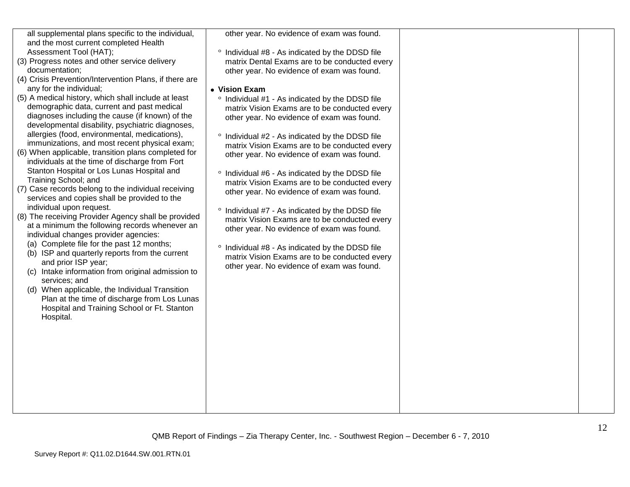| all supplemental plans specific to the individual,<br>and the most current completed Health<br>Assessment Tool (HAT);<br>(3) Progress notes and other service delivery<br>documentation:<br>(4) Crisis Prevention/Intervention Plans, if there are<br>any for the individual;<br>(5) A medical history, which shall include at least<br>demographic data, current and past medical<br>diagnoses including the cause (if known) of the<br>developmental disability, psychiatric diagnoses,<br>allergies (food, environmental, medications),<br>immunizations, and most recent physical exam;<br>(6) When applicable, transition plans completed for<br>individuals at the time of discharge from Fort<br>Stanton Hospital or Los Lunas Hospital and<br>Training School; and<br>(7) Case records belong to the individual receiving<br>services and copies shall be provided to the<br>individual upon request.<br>(8) The receiving Provider Agency shall be provided<br>at a minimum the following records whenever an<br>individual changes provider agencies:<br>(a) Complete file for the past 12 months;<br>(b) ISP and quarterly reports from the current<br>and prior ISP year;<br>(c) Intake information from original admission to<br>services; and<br>(d) When applicable, the Individual Transition<br>Plan at the time of discharge from Los Lunas<br>Hospital and Training School or Ft. Stanton<br>Hospital. | other year. No evidence of exam was found.<br>° Individual #8 - As indicated by the DDSD file<br>matrix Dental Exams are to be conducted every<br>other year. No evidence of exam was found.<br>• Vision Exam<br>° Individual #1 - As indicated by the DDSD file<br>matrix Vision Exams are to be conducted every<br>other year. No evidence of exam was found.<br>Individual #2 - As indicated by the DDSD file<br>$\circ$<br>matrix Vision Exams are to be conducted every<br>other year. No evidence of exam was found.<br>° Individual #6 - As indicated by the DDSD file<br>matrix Vision Exams are to be conducted every<br>other year. No evidence of exam was found.<br>Individual #7 - As indicated by the DDSD file<br>matrix Vision Exams are to be conducted every<br>other year. No evidence of exam was found.<br>Individual #8 - As indicated by the DDSD file<br>$\circ$<br>matrix Vision Exams are to be conducted every<br>other year. No evidence of exam was found. |  |
|---------------------------------------------------------------------------------------------------------------------------------------------------------------------------------------------------------------------------------------------------------------------------------------------------------------------------------------------------------------------------------------------------------------------------------------------------------------------------------------------------------------------------------------------------------------------------------------------------------------------------------------------------------------------------------------------------------------------------------------------------------------------------------------------------------------------------------------------------------------------------------------------------------------------------------------------------------------------------------------------------------------------------------------------------------------------------------------------------------------------------------------------------------------------------------------------------------------------------------------------------------------------------------------------------------------------------------------------------------------------------------------------------------------------------|-----------------------------------------------------------------------------------------------------------------------------------------------------------------------------------------------------------------------------------------------------------------------------------------------------------------------------------------------------------------------------------------------------------------------------------------------------------------------------------------------------------------------------------------------------------------------------------------------------------------------------------------------------------------------------------------------------------------------------------------------------------------------------------------------------------------------------------------------------------------------------------------------------------------------------------------------------------------------------------------|--|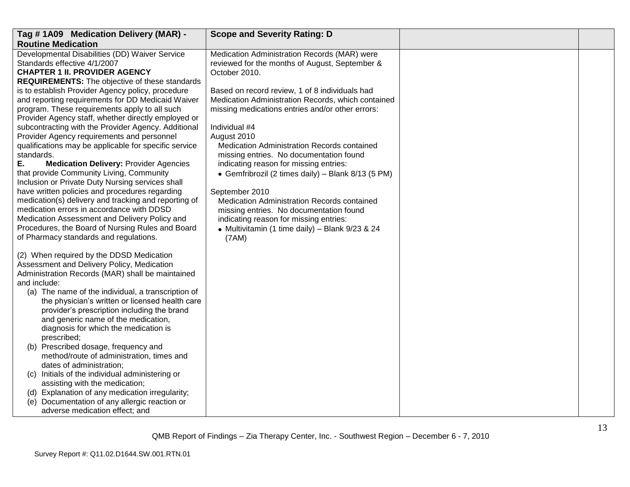| Tag #1A09 Medication Delivery (MAR) -                                                                                                                                                                                                                                                                                                                                                                                                                                                                                                                                                                                                                                                                                                                                                                                                                                                                                                                                                                                                                                                                                                                                                                                                                                                                                                                                                                                      | <b>Scope and Severity Rating: D</b>                                                                                                                                                                                                                                                                                                                                                                                                                                                                                                                                                                  |  |
|----------------------------------------------------------------------------------------------------------------------------------------------------------------------------------------------------------------------------------------------------------------------------------------------------------------------------------------------------------------------------------------------------------------------------------------------------------------------------------------------------------------------------------------------------------------------------------------------------------------------------------------------------------------------------------------------------------------------------------------------------------------------------------------------------------------------------------------------------------------------------------------------------------------------------------------------------------------------------------------------------------------------------------------------------------------------------------------------------------------------------------------------------------------------------------------------------------------------------------------------------------------------------------------------------------------------------------------------------------------------------------------------------------------------------|------------------------------------------------------------------------------------------------------------------------------------------------------------------------------------------------------------------------------------------------------------------------------------------------------------------------------------------------------------------------------------------------------------------------------------------------------------------------------------------------------------------------------------------------------------------------------------------------------|--|
| <b>Routine Medication</b>                                                                                                                                                                                                                                                                                                                                                                                                                                                                                                                                                                                                                                                                                                                                                                                                                                                                                                                                                                                                                                                                                                                                                                                                                                                                                                                                                                                                  |                                                                                                                                                                                                                                                                                                                                                                                                                                                                                                                                                                                                      |  |
| Developmental Disabilities (DD) Waiver Service<br>Standards effective 4/1/2007<br><b>CHAPTER 1 II. PROVIDER AGENCY</b>                                                                                                                                                                                                                                                                                                                                                                                                                                                                                                                                                                                                                                                                                                                                                                                                                                                                                                                                                                                                                                                                                                                                                                                                                                                                                                     | Medication Administration Records (MAR) were<br>reviewed for the months of August, September &<br>October 2010.                                                                                                                                                                                                                                                                                                                                                                                                                                                                                      |  |
| <b>REQUIREMENTS:</b> The objective of these standards<br>is to establish Provider Agency policy, procedure<br>and reporting requirements for DD Medicaid Waiver<br>program. These requirements apply to all such<br>Provider Agency staff, whether directly employed or<br>subcontracting with the Provider Agency. Additional<br>Provider Agency requirements and personnel<br>qualifications may be applicable for specific service<br>standards.<br>Е.<br><b>Medication Delivery: Provider Agencies</b><br>that provide Community Living, Community<br>Inclusion or Private Duty Nursing services shall<br>have written policies and procedures regarding<br>medication(s) delivery and tracking and reporting of<br>medication errors in accordance with DDSD<br>Medication Assessment and Delivery Policy and<br>Procedures, the Board of Nursing Rules and Board<br>of Pharmacy standards and regulations.<br>(2) When required by the DDSD Medication<br>Assessment and Delivery Policy, Medication<br>Administration Records (MAR) shall be maintained<br>and include:<br>(a) The name of the individual, a transcription of<br>the physician's written or licensed health care<br>provider's prescription including the brand<br>and generic name of the medication,<br>diagnosis for which the medication is<br>prescribed;<br>(b) Prescribed dosage, frequency and<br>method/route of administration, times and | Based on record review, 1 of 8 individuals had<br>Medication Administration Records, which contained<br>missing medications entries and/or other errors:<br>Individual #4<br>August 2010<br>Medication Administration Records contained<br>missing entries. No documentation found<br>indicating reason for missing entries:<br>• Gemfribrozil (2 times daily) - Blank 8/13 (5 PM)<br>September 2010<br>Medication Administration Records contained<br>missing entries. No documentation found<br>indicating reason for missing entries:<br>• Multivitamin (1 time daily) - Blank 9/23 & 24<br>(7AM) |  |
| dates of administration;<br>(c) Initials of the individual administering or                                                                                                                                                                                                                                                                                                                                                                                                                                                                                                                                                                                                                                                                                                                                                                                                                                                                                                                                                                                                                                                                                                                                                                                                                                                                                                                                                |                                                                                                                                                                                                                                                                                                                                                                                                                                                                                                                                                                                                      |  |
| assisting with the medication;<br>(d) Explanation of any medication irregularity;                                                                                                                                                                                                                                                                                                                                                                                                                                                                                                                                                                                                                                                                                                                                                                                                                                                                                                                                                                                                                                                                                                                                                                                                                                                                                                                                          |                                                                                                                                                                                                                                                                                                                                                                                                                                                                                                                                                                                                      |  |
| Documentation of any allergic reaction or<br>(e)<br>adverse medication effect; and                                                                                                                                                                                                                                                                                                                                                                                                                                                                                                                                                                                                                                                                                                                                                                                                                                                                                                                                                                                                                                                                                                                                                                                                                                                                                                                                         |                                                                                                                                                                                                                                                                                                                                                                                                                                                                                                                                                                                                      |  |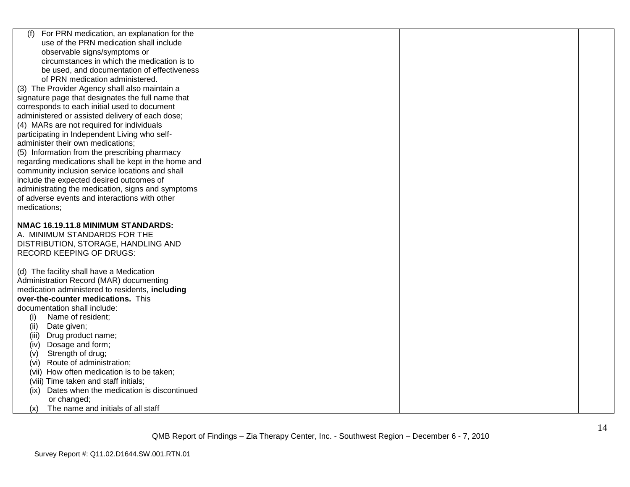| For PRN medication, an explanation for the<br>(f)                      |  |  |
|------------------------------------------------------------------------|--|--|
| use of the PRN medication shall include                                |  |  |
| observable signs/symptoms or                                           |  |  |
| circumstances in which the medication is to                            |  |  |
| be used, and documentation of effectiveness                            |  |  |
| of PRN medication administered.                                        |  |  |
| (3) The Provider Agency shall also maintain a                          |  |  |
| signature page that designates the full name that                      |  |  |
| corresponds to each initial used to document                           |  |  |
| administered or assisted delivery of each dose;                        |  |  |
| (4) MARs are not required for individuals                              |  |  |
| participating in Independent Living who self-                          |  |  |
| administer their own medications;                                      |  |  |
| (5) Information from the prescribing pharmacy                          |  |  |
| regarding medications shall be kept in the home and                    |  |  |
| community inclusion service locations and shall                        |  |  |
| include the expected desired outcomes of                               |  |  |
| administrating the medication, signs and symptoms                      |  |  |
| of adverse events and interactions with other                          |  |  |
| medications;                                                           |  |  |
|                                                                        |  |  |
| NMAC 16.19.11.8 MINIMUM STANDARDS:                                     |  |  |
| A. MINIMUM STANDARDS FOR THE                                           |  |  |
| DISTRIBUTION, STORAGE, HANDLING AND<br><b>RECORD KEEPING OF DRUGS:</b> |  |  |
|                                                                        |  |  |
| (d) The facility shall have a Medication                               |  |  |
| Administration Record (MAR) documenting                                |  |  |
| medication administered to residents, including                        |  |  |
| over-the-counter medications. This                                     |  |  |
| documentation shall include:                                           |  |  |
| Name of resident;<br>(i)                                               |  |  |
| (ii)<br>Date given;                                                    |  |  |
| (iii)<br>Drug product name;                                            |  |  |
| Dosage and form;<br>(iv)                                               |  |  |
| Strength of drug;<br>(v)                                               |  |  |
| Route of administration;<br>(vi)                                       |  |  |
| (vii) How often medication is to be taken;                             |  |  |
| (viii) Time taken and staff initials;                                  |  |  |
| Dates when the medication is discontinued<br>(ix)                      |  |  |
| or changed;                                                            |  |  |
| The name and initials of all staff<br>(x)                              |  |  |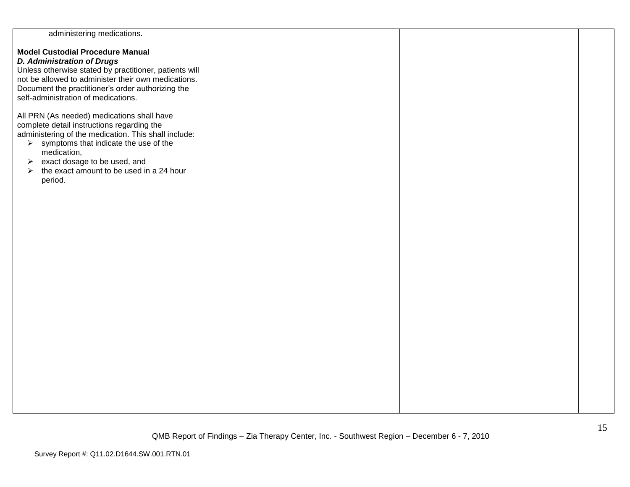| administering medications.                                                                                                                                                                                                                                                                                                                                 |  |  |
|------------------------------------------------------------------------------------------------------------------------------------------------------------------------------------------------------------------------------------------------------------------------------------------------------------------------------------------------------------|--|--|
| <b>Model Custodial Procedure Manual</b><br><b>D. Administration of Drugs</b><br>Unless otherwise stated by practitioner, patients will<br>not be allowed to administer their own medications.<br>Document the practitioner's order authorizing the<br>self-administration of medications.                                                                  |  |  |
| All PRN (As needed) medications shall have<br>complete detail instructions regarding the<br>administering of the medication. This shall include:<br>$\triangleright$ symptoms that indicate the use of the<br>medication,<br>exact dosage to be used, and<br>$\blacktriangleright$<br>$\triangleright$ the exact amount to be used in a 24 hour<br>period. |  |  |
|                                                                                                                                                                                                                                                                                                                                                            |  |  |
|                                                                                                                                                                                                                                                                                                                                                            |  |  |
|                                                                                                                                                                                                                                                                                                                                                            |  |  |
|                                                                                                                                                                                                                                                                                                                                                            |  |  |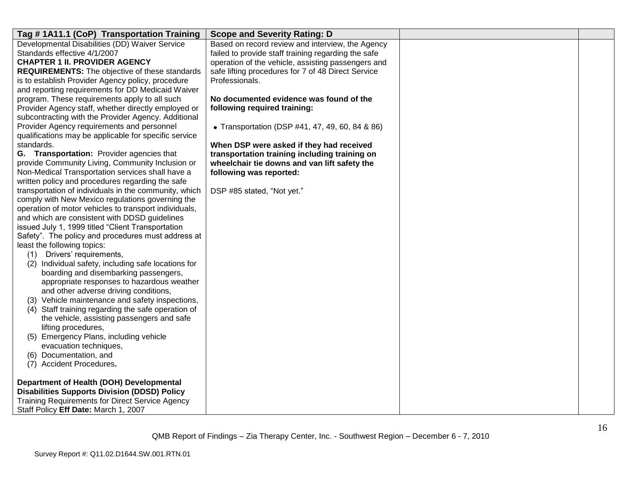| Tag # 1A11.1 (CoP) Transportation Training                                                      | <b>Scope and Severity Rating: D</b>                 |  |
|-------------------------------------------------------------------------------------------------|-----------------------------------------------------|--|
| Developmental Disabilities (DD) Waiver Service                                                  | Based on record review and interview, the Agency    |  |
| Standards effective 4/1/2007                                                                    | failed to provide staff training regarding the safe |  |
| <b>CHAPTER 1 II. PROVIDER AGENCY</b>                                                            | operation of the vehicle, assisting passengers and  |  |
| <b>REQUIREMENTS:</b> The objective of these standards                                           | safe lifting procedures for 7 of 48 Direct Service  |  |
| is to establish Provider Agency policy, procedure                                               | Professionals.                                      |  |
| and reporting requirements for DD Medicaid Waiver                                               |                                                     |  |
| program. These requirements apply to all such                                                   | No documented evidence was found of the             |  |
| Provider Agency staff, whether directly employed or                                             | following required training:                        |  |
| subcontracting with the Provider Agency. Additional                                             |                                                     |  |
| Provider Agency requirements and personnel                                                      | • Transportation (DSP #41, 47, 49, 60, 84 & 86)     |  |
| qualifications may be applicable for specific service                                           |                                                     |  |
| standards.                                                                                      | When DSP were asked if they had received            |  |
| G. Transportation: Provider agencies that                                                       | transportation training including training on       |  |
| provide Community Living, Community Inclusion or                                                | wheelchair tie downs and van lift safety the        |  |
| Non-Medical Transportation services shall have a                                                | following was reported:                             |  |
| written policy and procedures regarding the safe                                                |                                                     |  |
| transportation of individuals in the community, which                                           | DSP #85 stated, "Not yet."                          |  |
| comply with New Mexico regulations governing the                                                |                                                     |  |
| operation of motor vehicles to transport individuals,                                           |                                                     |  |
| and which are consistent with DDSD guidelines                                                   |                                                     |  |
| issued July 1, 1999 titled "Client Transportation                                               |                                                     |  |
| Safety". The policy and procedures must address at                                              |                                                     |  |
| least the following topics:                                                                     |                                                     |  |
| (1) Drivers' requirements,                                                                      |                                                     |  |
| (2) Individual safety, including safe locations for                                             |                                                     |  |
| boarding and disembarking passengers,                                                           |                                                     |  |
| appropriate responses to hazardous weather                                                      |                                                     |  |
| and other adverse driving conditions,                                                           |                                                     |  |
| (3) Vehicle maintenance and safety inspections,                                                 |                                                     |  |
| (4) Staff training regarding the safe operation of                                              |                                                     |  |
| the vehicle, assisting passengers and safe                                                      |                                                     |  |
| lifting procedures,                                                                             |                                                     |  |
| Emergency Plans, including vehicle<br>(5)                                                       |                                                     |  |
| evacuation techniques,                                                                          |                                                     |  |
| (6) Documentation, and                                                                          |                                                     |  |
| (7) Accident Procedures.                                                                        |                                                     |  |
|                                                                                                 |                                                     |  |
| Department of Health (DOH) Developmental<br><b>Disabilities Supports Division (DDSD) Policy</b> |                                                     |  |
| <b>Training Requirements for Direct Service Agency</b>                                          |                                                     |  |
|                                                                                                 |                                                     |  |
| Staff Policy Eff Date: March 1, 2007                                                            |                                                     |  |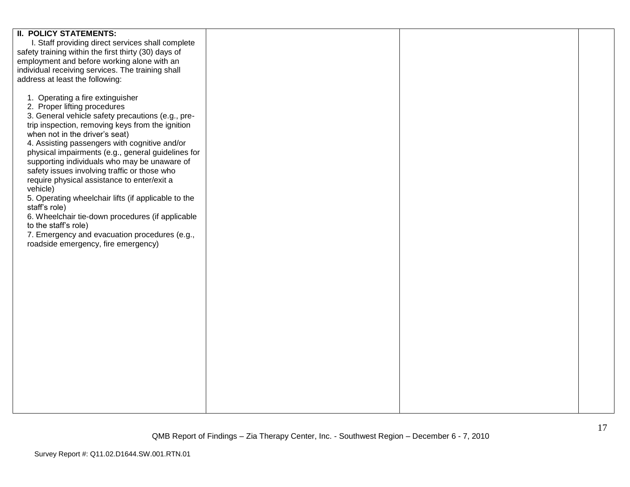| <b>II. POLICY STATEMENTS:</b>                        |  |  |
|------------------------------------------------------|--|--|
| I. Staff providing direct services shall complete    |  |  |
|                                                      |  |  |
| safety training within the first thirty (30) days of |  |  |
| employment and before working alone with an          |  |  |
| individual receiving services. The training shall    |  |  |
|                                                      |  |  |
| address at least the following:                      |  |  |
|                                                      |  |  |
| 1. Operating a fire extinguisher                     |  |  |
|                                                      |  |  |
| 2. Proper lifting procedures                         |  |  |
| 3. General vehicle safety precautions (e.g., pre-    |  |  |
| trip inspection, removing keys from the ignition     |  |  |
| when not in the driver's seat)                       |  |  |
|                                                      |  |  |
| 4. Assisting passengers with cognitive and/or        |  |  |
| physical impairments (e.g., general guidelines for   |  |  |
| supporting individuals who may be unaware of         |  |  |
| safety issues involving traffic or those who         |  |  |
|                                                      |  |  |
| require physical assistance to enter/exit a          |  |  |
| vehicle)                                             |  |  |
| 5. Operating wheelchair lifts (if applicable to the  |  |  |
|                                                      |  |  |
| staff's role)                                        |  |  |
| 6. Wheelchair tie-down procedures (if applicable     |  |  |
| to the staff's role)                                 |  |  |
| 7. Emergency and evacuation procedures (e.g.,        |  |  |
| roadside emergency, fire emergency)                  |  |  |
|                                                      |  |  |
|                                                      |  |  |
|                                                      |  |  |
|                                                      |  |  |
|                                                      |  |  |
|                                                      |  |  |
|                                                      |  |  |
|                                                      |  |  |
|                                                      |  |  |
|                                                      |  |  |
|                                                      |  |  |
|                                                      |  |  |
|                                                      |  |  |
|                                                      |  |  |
|                                                      |  |  |
|                                                      |  |  |
|                                                      |  |  |
|                                                      |  |  |
|                                                      |  |  |
|                                                      |  |  |
|                                                      |  |  |
|                                                      |  |  |
|                                                      |  |  |
|                                                      |  |  |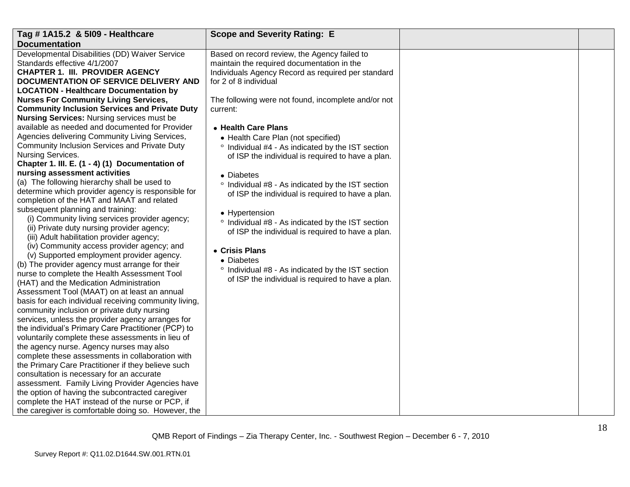| Tag # 1A15.2 & 5109 - Healthcare                      | <b>Scope and Severity Rating: E</b>                                                        |  |
|-------------------------------------------------------|--------------------------------------------------------------------------------------------|--|
| <b>Documentation</b>                                  |                                                                                            |  |
| Developmental Disabilities (DD) Waiver Service        |                                                                                            |  |
| Standards effective 4/1/2007                          | Based on record review, the Agency failed to<br>maintain the required documentation in the |  |
| <b>CHAPTER 1. III. PROVIDER AGENCY</b>                |                                                                                            |  |
| <b>DOCUMENTATION OF SERVICE DELIVERY AND</b>          | Individuals Agency Record as required per standard<br>for 2 of 8 individual                |  |
|                                                       |                                                                                            |  |
| <b>LOCATION - Healthcare Documentation by</b>         |                                                                                            |  |
| <b>Nurses For Community Living Services,</b>          | The following were not found, incomplete and/or not                                        |  |
| <b>Community Inclusion Services and Private Duty</b>  | current:                                                                                   |  |
| <b>Nursing Services: Nursing services must be</b>     |                                                                                            |  |
| available as needed and documented for Provider       | • Health Care Plans                                                                        |  |
| Agencies delivering Community Living Services,        | • Health Care Plan (not specified)                                                         |  |
| Community Inclusion Services and Private Duty         | ° Individual #4 - As indicated by the IST section                                          |  |
| Nursing Services.                                     | of ISP the individual is required to have a plan.                                          |  |
| Chapter 1. III. E. (1 - 4) (1) Documentation of       |                                                                                            |  |
| nursing assessment activities                         | • Diabetes                                                                                 |  |
| (a) The following hierarchy shall be used to          | ° Individual #8 - As indicated by the IST section                                          |  |
| determine which provider agency is responsible for    | of ISP the individual is required to have a plan.                                          |  |
| completion of the HAT and MAAT and related            |                                                                                            |  |
| subsequent planning and training:                     | • Hypertension                                                                             |  |
| (i) Community living services provider agency;        | ° Individual #8 - As indicated by the IST section                                          |  |
| (ii) Private duty nursing provider agency;            | of ISP the individual is required to have a plan.                                          |  |
| (iii) Adult habilitation provider agency;             |                                                                                            |  |
| (iv) Community access provider agency; and            | • Crisis Plans                                                                             |  |
| (v) Supported employment provider agency.             | • Diabetes                                                                                 |  |
| (b) The provider agency must arrange for their        | ° Individual #8 - As indicated by the IST section                                          |  |
| nurse to complete the Health Assessment Tool          | of ISP the individual is required to have a plan.                                          |  |
| (HAT) and the Medication Administration               |                                                                                            |  |
| Assessment Tool (MAAT) on at least an annual          |                                                                                            |  |
| basis for each individual receiving community living, |                                                                                            |  |
| community inclusion or private duty nursing           |                                                                                            |  |
| services, unless the provider agency arranges for     |                                                                                            |  |
| the individual's Primary Care Practitioner (PCP) to   |                                                                                            |  |
| voluntarily complete these assessments in lieu of     |                                                                                            |  |
| the agency nurse. Agency nurses may also              |                                                                                            |  |
| complete these assessments in collaboration with      |                                                                                            |  |
| the Primary Care Practitioner if they believe such    |                                                                                            |  |
| consultation is necessary for an accurate             |                                                                                            |  |
| assessment. Family Living Provider Agencies have      |                                                                                            |  |
| the option of having the subcontracted caregiver      |                                                                                            |  |
| complete the HAT instead of the nurse or PCP, if      |                                                                                            |  |
| the caregiver is comfortable doing so. However, the   |                                                                                            |  |
|                                                       |                                                                                            |  |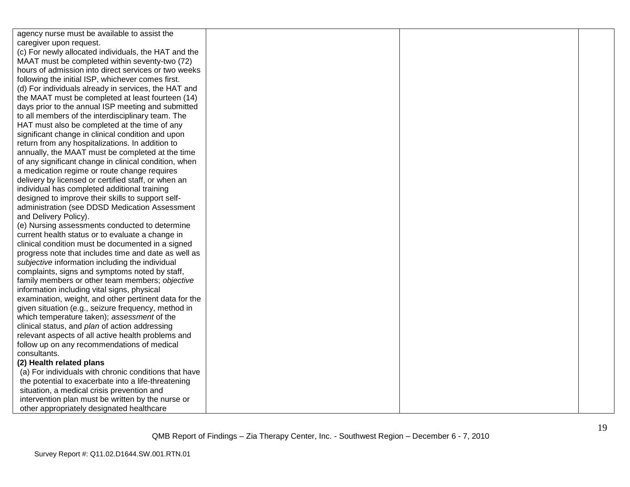| agency nurse must be available to assist the          |  |  |
|-------------------------------------------------------|--|--|
| caregiver upon request.                               |  |  |
| (c) For newly allocated individuals, the HAT and the  |  |  |
| MAAT must be completed within seventy-two (72)        |  |  |
| hours of admission into direct services or two weeks  |  |  |
| following the initial ISP, whichever comes first.     |  |  |
| (d) For individuals already in services, the HAT and  |  |  |
| the MAAT must be completed at least fourteen (14)     |  |  |
| days prior to the annual ISP meeting and submitted    |  |  |
| to all members of the interdisciplinary team. The     |  |  |
| HAT must also be completed at the time of any         |  |  |
| significant change in clinical condition and upon     |  |  |
| return from any hospitalizations. In addition to      |  |  |
| annually, the MAAT must be completed at the time      |  |  |
| of any significant change in clinical condition, when |  |  |
| a medication regime or route change requires          |  |  |
| delivery by licensed or certified staff, or when an   |  |  |
| individual has completed additional training          |  |  |
| designed to improve their skills to support self-     |  |  |
| administration (see DDSD Medication Assessment        |  |  |
| and Delivery Policy).                                 |  |  |
| (e) Nursing assessments conducted to determine        |  |  |
| current health status or to evaluate a change in      |  |  |
| clinical condition must be documented in a signed     |  |  |
| progress note that includes time and date as well as  |  |  |
| subjective information including the individual       |  |  |
| complaints, signs and symptoms noted by staff,        |  |  |
| family members or other team members; objective       |  |  |
| information including vital signs, physical           |  |  |
| examination, weight, and other pertinent data for the |  |  |
| given situation (e.g., seizure frequency, method in   |  |  |
| which temperature taken); assessment of the           |  |  |
| clinical status, and plan of action addressing        |  |  |
| relevant aspects of all active health problems and    |  |  |
| follow up on any recommendations of medical           |  |  |
| consultants.                                          |  |  |
| (2) Health related plans                              |  |  |
| (a) For individuals with chronic conditions that have |  |  |
| the potential to exacerbate into a life-threatening   |  |  |
| situation, a medical crisis prevention and            |  |  |
| intervention plan must be written by the nurse or     |  |  |
| other appropriately designated healthcare             |  |  |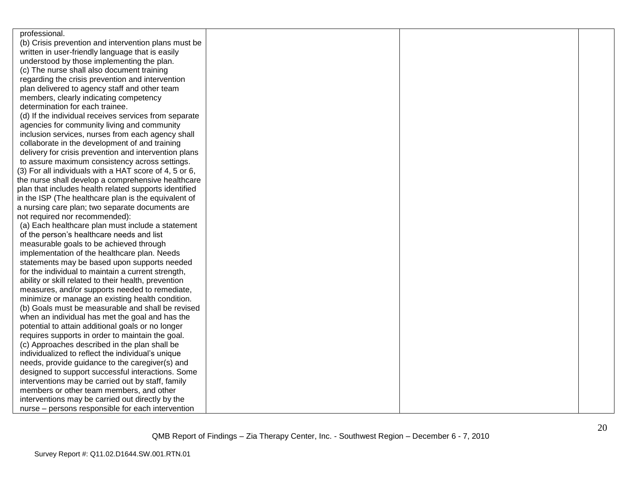| professional.                                          |  |  |
|--------------------------------------------------------|--|--|
| (b) Crisis prevention and intervention plans must be   |  |  |
| written in user-friendly language that is easily       |  |  |
| understood by those implementing the plan.             |  |  |
| (c) The nurse shall also document training             |  |  |
| regarding the crisis prevention and intervention       |  |  |
| plan delivered to agency staff and other team          |  |  |
| members, clearly indicating competency                 |  |  |
| determination for each trainee.                        |  |  |
| (d) If the individual receives services from separate  |  |  |
| agencies for community living and community            |  |  |
| inclusion services, nurses from each agency shall      |  |  |
| collaborate in the development of and training         |  |  |
| delivery for crisis prevention and intervention plans  |  |  |
| to assure maximum consistency across settings.         |  |  |
| (3) For all individuals with a HAT score of 4, 5 or 6, |  |  |
| the nurse shall develop a comprehensive healthcare     |  |  |
| plan that includes health related supports identified  |  |  |
| in the ISP (The healthcare plan is the equivalent of   |  |  |
| a nursing care plan; two separate documents are        |  |  |
| not required nor recommended):                         |  |  |
| (a) Each healthcare plan must include a statement      |  |  |
| of the person's healthcare needs and list              |  |  |
| measurable goals to be achieved through                |  |  |
| implementation of the healthcare plan. Needs           |  |  |
| statements may be based upon supports needed           |  |  |
| for the individual to maintain a current strength,     |  |  |
| ability or skill related to their health, prevention   |  |  |
| measures, and/or supports needed to remediate,         |  |  |
| minimize or manage an existing health condition.       |  |  |
| (b) Goals must be measurable and shall be revised      |  |  |
| when an individual has met the goal and has the        |  |  |
| potential to attain additional goals or no longer      |  |  |
| requires supports in order to maintain the goal.       |  |  |
| (c) Approaches described in the plan shall be          |  |  |
| individualized to reflect the individual's unique      |  |  |
| needs, provide guidance to the caregiver(s) and        |  |  |
| designed to support successful interactions. Some      |  |  |
| interventions may be carried out by staff, family      |  |  |
| members or other team members, and other               |  |  |
| interventions may be carried out directly by the       |  |  |
| nurse - persons responsible for each intervention      |  |  |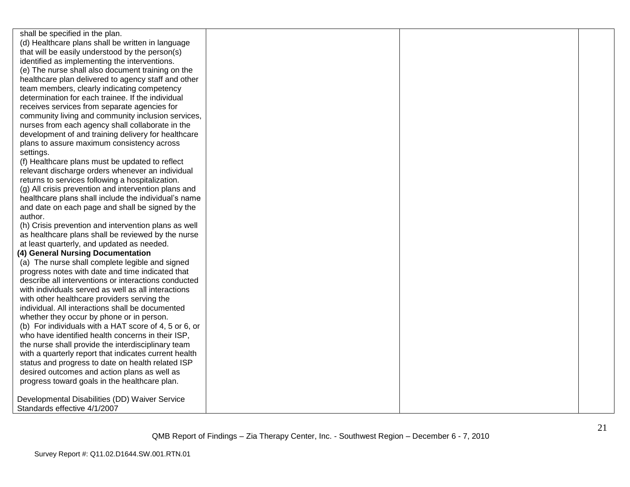shall be specified in the plan. (d) Healthcare plans shall be written in language that will be easily understood by the person(s) identified as implementing the interventions. (e) The nurse shall also document training on the healthcare plan delivered to agency staff and other team members, clearly indicating competency determination for each trainee. If the individual receives services from separate agencies for community living and community inclusion services, nurses from each agency shall collaborate in the development of and training delivery for healthcare plans to assure maximum consistency across settings.

(f) Healthcare plans must be updated to reflect relevant discharge orders whenever an individual returns to services following a hospitalization.

(g) All crisis prevention and intervention plans and healthcare plans shall include the individual's name and date on each page and shall be signed by the author.

(h) Crisis prevention and intervention plans as well as healthcare plans shall be reviewed by the nurse at least quarterly, and updated as needed.

#### **(4) General Nursing Documentation**

(a) The nurse shall complete legible and signed progress notes with date and time indicated that describe all interventions or interactions conducted with individuals served as well as all interactions with other healthcare providers serving the individual. All interactions shall be documented whether they occur by phone or in person. (b) For individuals with a HAT score of 4, 5 or 6, or who have identified health concerns in their ISP, the nurse shall provide the interdisciplinary team with a quarterly report that indicates current health status and progress to date on health related ISP desired outcomes and action plans as well as progress toward goals in the healthcare plan.

Developmental Disabilities (DD) Waiver Service Standards effective 4/1/2007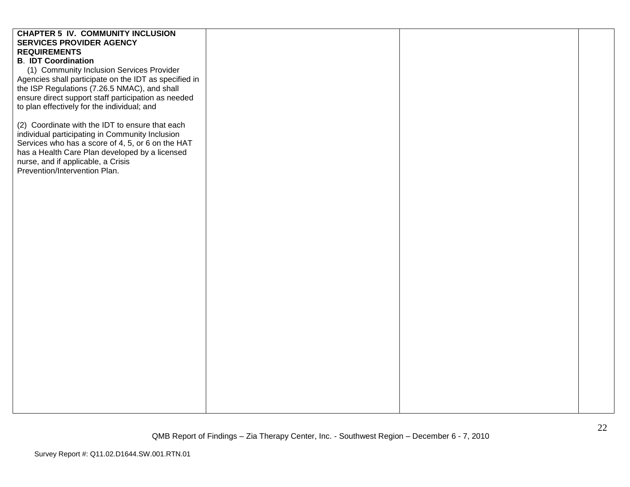# **CHAPTER 5 IV. COMMUNITY INCLUSION SERVICES PROVIDER AGENCY REQUIREMENTS B**. **IDT Coordination** (1) Community Inclusion Services Provider Agencies shall participate on the IDT as specified in the ISP Regulations (7.26.5 NMAC), and shall ensure direct support staff participation as needed to plan effectively for the individual; and (2) Coordinate with the IDT to ensure that each individual participating in Community Inclusion Services who has a score of 4, 5, or 6 on the HAT has a Health Care Plan developed by a licensed nurse, and if applicable, a Crisis Prevention/Intervention Plan.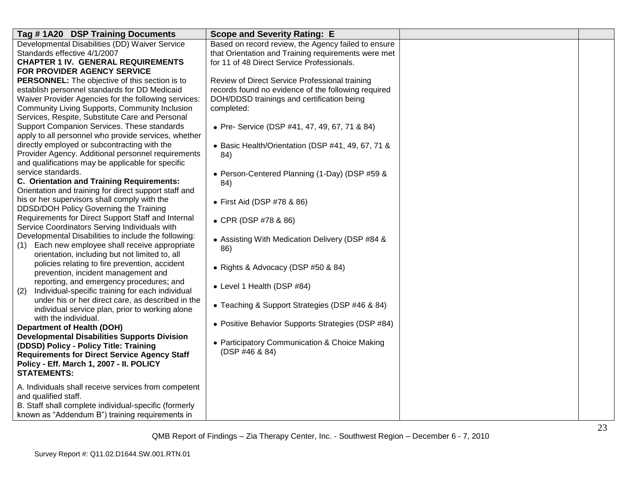| Tag #1A20 DSP Training Documents                                                                             | <b>Scope and Severity Rating: E</b>                 |  |
|--------------------------------------------------------------------------------------------------------------|-----------------------------------------------------|--|
| Developmental Disabilities (DD) Waiver Service                                                               | Based on record review, the Agency failed to ensure |  |
| Standards effective 4/1/2007                                                                                 | that Orientation and Training requirements were met |  |
| <b>CHAPTER 1 IV. GENERAL REQUIREMENTS</b>                                                                    | for 11 of 48 Direct Service Professionals.          |  |
| FOR PROVIDER AGENCY SERVICE                                                                                  |                                                     |  |
| PERSONNEL: The objective of this section is to                                                               | Review of Direct Service Professional training      |  |
| establish personnel standards for DD Medicaid                                                                | records found no evidence of the following required |  |
| Waiver Provider Agencies for the following services:                                                         | DOH/DDSD trainings and certification being          |  |
| Community Living Supports, Community Inclusion                                                               | completed:                                          |  |
| Services, Respite, Substitute Care and Personal                                                              |                                                     |  |
| Support Companion Services. These standards                                                                  | • Pre- Service (DSP #41, 47, 49, 67, 71 & 84)       |  |
| apply to all personnel who provide services, whether                                                         |                                                     |  |
| directly employed or subcontracting with the                                                                 | • Basic Health/Orientation (DSP #41, 49, 67, 71 &   |  |
| Provider Agency. Additional personnel requirements                                                           | 84)                                                 |  |
| and qualifications may be applicable for specific                                                            |                                                     |  |
| service standards.                                                                                           | • Person-Centered Planning (1-Day) (DSP #59 &       |  |
| C. Orientation and Training Requirements:                                                                    | 84)                                                 |  |
| Orientation and training for direct support staff and                                                        |                                                     |  |
| his or her supervisors shall comply with the                                                                 | • First Aid (DSP #78 & 86)                          |  |
| DDSD/DOH Policy Governing the Training                                                                       |                                                     |  |
| Requirements for Direct Support Staff and Internal                                                           | • CPR (DSP #78 & 86)                                |  |
| Service Coordinators Serving Individuals with                                                                |                                                     |  |
| Developmental Disabilities to include the following:                                                         | • Assisting With Medication Delivery (DSP #84 &     |  |
| (1) Each new employee shall receive appropriate                                                              | 86)                                                 |  |
| orientation, including but not limited to, all                                                               |                                                     |  |
| policies relating to fire prevention, accident                                                               | • Rights & Advocacy (DSP #50 & 84)                  |  |
| prevention, incident management and                                                                          |                                                     |  |
| reporting, and emergency procedures; and                                                                     | • Level 1 Health (DSP #84)                          |  |
| Individual-specific training for each individual<br>(2)<br>under his or her direct care, as described in the |                                                     |  |
| individual service plan, prior to working alone                                                              | • Teaching & Support Strategies (DSP #46 & 84)      |  |
| with the individual.                                                                                         |                                                     |  |
| <b>Department of Health (DOH)</b>                                                                            | • Positive Behavior Supports Strategies (DSP #84)   |  |
| <b>Developmental Disabilities Supports Division</b>                                                          |                                                     |  |
| (DDSD) Policy - Policy Title: Training                                                                       | • Participatory Communication & Choice Making       |  |
| <b>Requirements for Direct Service Agency Staff</b>                                                          | (DSP #46 & 84)                                      |  |
| Policy - Eff. March 1, 2007 - II. POLICY                                                                     |                                                     |  |
| <b>STATEMENTS:</b>                                                                                           |                                                     |  |
|                                                                                                              |                                                     |  |
| A. Individuals shall receive services from competent                                                         |                                                     |  |
| and qualified staff.                                                                                         |                                                     |  |
| B. Staff shall complete individual-specific (formerly                                                        |                                                     |  |
| known as "Addendum B") training requirements in                                                              |                                                     |  |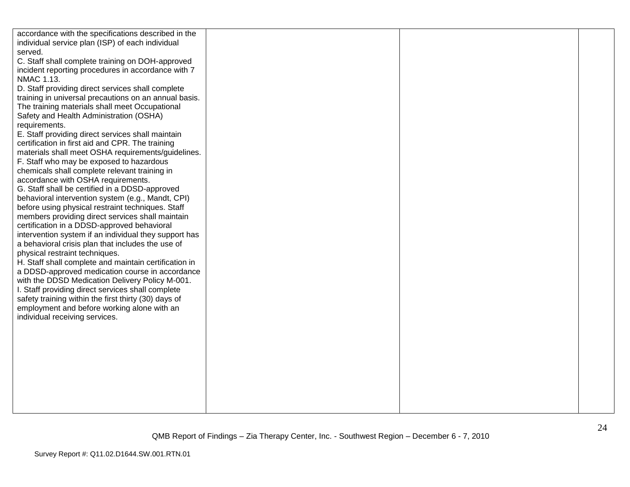| accordance with the specifications described in the<br>individual service plan (ISP) of each individual<br>served.<br>C. Staff shall complete training on DOH-approved<br>incident reporting procedures in accordance with 7<br>NMAC 1.13.<br>D. Staff providing direct services shall complete<br>training in universal precautions on an annual basis.<br>The training materials shall meet Occupational<br>Safety and Health Administration (OSHA)<br>requirements.<br>E. Staff providing direct services shall maintain<br>certification in first aid and CPR. The training<br>materials shall meet OSHA requirements/guidelines.                                                                                                                                                                                                                                                                       |  |  |
|-------------------------------------------------------------------------------------------------------------------------------------------------------------------------------------------------------------------------------------------------------------------------------------------------------------------------------------------------------------------------------------------------------------------------------------------------------------------------------------------------------------------------------------------------------------------------------------------------------------------------------------------------------------------------------------------------------------------------------------------------------------------------------------------------------------------------------------------------------------------------------------------------------------|--|--|
| F. Staff who may be exposed to hazardous<br>chemicals shall complete relevant training in<br>accordance with OSHA requirements.<br>G. Staff shall be certified in a DDSD-approved<br>behavioral intervention system (e.g., Mandt, CPI)<br>before using physical restraint techniques. Staff<br>members providing direct services shall maintain<br>certification in a DDSD-approved behavioral<br>intervention system if an individual they support has<br>a behavioral crisis plan that includes the use of<br>physical restraint techniques.<br>H. Staff shall complete and maintain certification in<br>a DDSD-approved medication course in accordance<br>with the DDSD Medication Delivery Policy M-001.<br>I. Staff providing direct services shall complete<br>safety training within the first thirty (30) days of<br>employment and before working alone with an<br>individual receiving services. |  |  |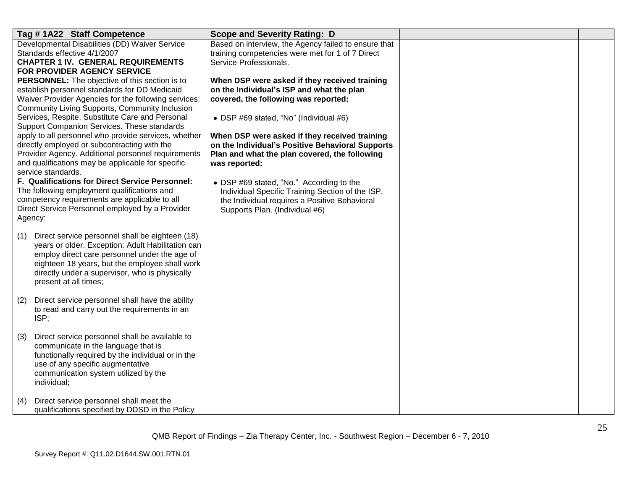| Tag #1A22 Staff Competence                                                                             | <b>Scope and Severity Rating: D</b>                                                        |  |
|--------------------------------------------------------------------------------------------------------|--------------------------------------------------------------------------------------------|--|
| Developmental Disabilities (DD) Waiver Service                                                         | Based on interview, the Agency failed to ensure that                                       |  |
| Standards effective 4/1/2007                                                                           | training competencies were met for 1 of 7 Direct                                           |  |
| <b>CHAPTER 1 IV. GENERAL REQUIREMENTS</b>                                                              | Service Professionals.                                                                     |  |
| FOR PROVIDER AGENCY SERVICE                                                                            |                                                                                            |  |
| <b>PERSONNEL:</b> The objective of this section is to<br>establish personnel standards for DD Medicaid | When DSP were asked if they received training<br>on the Individual's ISP and what the plan |  |
| Waiver Provider Agencies for the following services:                                                   | covered, the following was reported:                                                       |  |
| Community Living Supports, Community Inclusion                                                         |                                                                                            |  |
| Services, Respite, Substitute Care and Personal                                                        | • DSP #69 stated, "No" (Individual #6)                                                     |  |
| Support Companion Services. These standards                                                            |                                                                                            |  |
| apply to all personnel who provide services, whether                                                   | When DSP were asked if they received training                                              |  |
| directly employed or subcontracting with the                                                           | on the Individual's Positive Behavioral Supports                                           |  |
| Provider Agency. Additional personnel requirements                                                     | Plan and what the plan covered, the following                                              |  |
| and qualifications may be applicable for specific                                                      | was reported:                                                                              |  |
| service standards.                                                                                     |                                                                                            |  |
| F. Qualifications for Direct Service Personnel:                                                        | • DSP #69 stated, "No." According to the                                                   |  |
| The following employment qualifications and                                                            | Individual Specific Training Section of the ISP,                                           |  |
| competency requirements are applicable to all                                                          | the Individual requires a Positive Behavioral                                              |  |
| Direct Service Personnel employed by a Provider<br>Agency:                                             | Supports Plan. (Individual #6)                                                             |  |
|                                                                                                        |                                                                                            |  |
| Direct service personnel shall be eighteen (18)<br>(1)                                                 |                                                                                            |  |
| years or older. Exception: Adult Habilitation can                                                      |                                                                                            |  |
| employ direct care personnel under the age of                                                          |                                                                                            |  |
| eighteen 18 years, but the employee shall work                                                         |                                                                                            |  |
| directly under a supervisor, who is physically                                                         |                                                                                            |  |
| present at all times;                                                                                  |                                                                                            |  |
|                                                                                                        |                                                                                            |  |
| Direct service personnel shall have the ability<br>(2)<br>to read and carry out the requirements in an |                                                                                            |  |
| ISP;                                                                                                   |                                                                                            |  |
|                                                                                                        |                                                                                            |  |
| Direct service personnel shall be available to<br>(3)                                                  |                                                                                            |  |
| communicate in the language that is                                                                    |                                                                                            |  |
| functionally required by the individual or in the                                                      |                                                                                            |  |
| use of any specific augmentative                                                                       |                                                                                            |  |
| communication system utilized by the                                                                   |                                                                                            |  |
| individual;                                                                                            |                                                                                            |  |
|                                                                                                        |                                                                                            |  |
| Direct service personnel shall meet the<br>(4)                                                         |                                                                                            |  |
| qualifications specified by DDSD in the Policy                                                         |                                                                                            |  |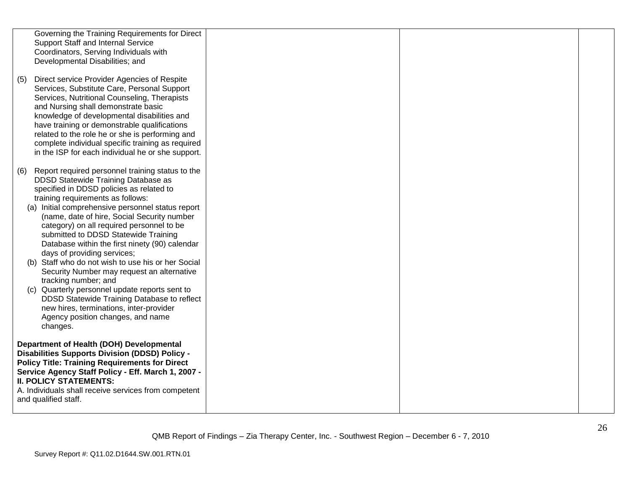|     | Governing the Training Requirements for Direct        |  |  |
|-----|-------------------------------------------------------|--|--|
|     | Support Staff and Internal Service                    |  |  |
|     | Coordinators, Serving Individuals with                |  |  |
|     | Developmental Disabilities; and                       |  |  |
|     |                                                       |  |  |
| (5) | Direct service Provider Agencies of Respite           |  |  |
|     | Services, Substitute Care, Personal Support           |  |  |
|     | Services, Nutritional Counseling, Therapists          |  |  |
|     | and Nursing shall demonstrate basic                   |  |  |
|     | knowledge of developmental disabilities and           |  |  |
|     | have training or demonstrable qualifications          |  |  |
|     | related to the role he or she is performing and       |  |  |
|     | complete individual specific training as required     |  |  |
|     | in the ISP for each individual he or she support.     |  |  |
|     |                                                       |  |  |
| (6) | Report required personnel training status to the      |  |  |
|     | DDSD Statewide Training Database as                   |  |  |
|     | specified in DDSD policies as related to              |  |  |
|     | training requirements as follows:                     |  |  |
|     | (a) Initial comprehensive personnel status report     |  |  |
|     | (name, date of hire, Social Security number           |  |  |
|     | category) on all required personnel to be             |  |  |
|     | submitted to DDSD Statewide Training                  |  |  |
|     |                                                       |  |  |
|     | Database within the first ninety (90) calendar        |  |  |
|     | days of providing services;                           |  |  |
|     | (b) Staff who do not wish to use his or her Social    |  |  |
|     | Security Number may request an alternative            |  |  |
|     | tracking number; and                                  |  |  |
|     | (c) Quarterly personnel update reports sent to        |  |  |
|     | DDSD Statewide Training Database to reflect           |  |  |
|     | new hires, terminations, inter-provider               |  |  |
|     | Agency position changes, and name                     |  |  |
|     | changes.                                              |  |  |
|     |                                                       |  |  |
|     | Department of Health (DOH) Developmental              |  |  |
|     | <b>Disabilities Supports Division (DDSD) Policy -</b> |  |  |
|     | <b>Policy Title: Training Requirements for Direct</b> |  |  |
|     | Service Agency Staff Policy - Eff. March 1, 2007 -    |  |  |
|     | <b>II. POLICY STATEMENTS:</b>                         |  |  |
|     | A. Individuals shall receive services from competent  |  |  |
|     | and qualified staff.                                  |  |  |
|     |                                                       |  |  |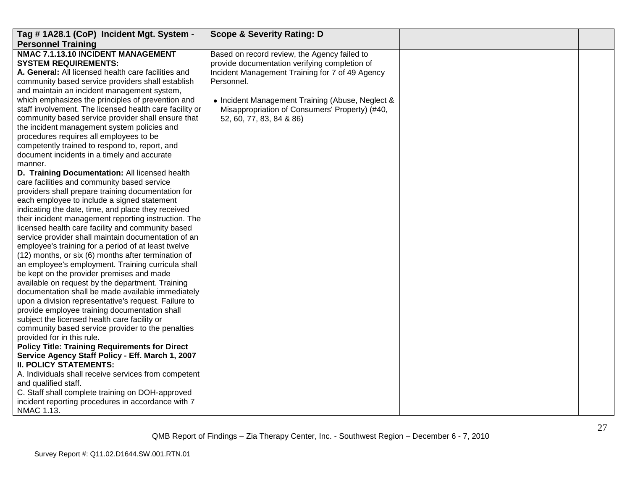| Tag #1A28.1 (CoP) Incident Mgt. System -<br><b>Personnel Training</b>                                                                                                                                                                                                                                                                                                                                                                                                                                                                                                                                                                                                                                                                                                                                                                                                                                                                                                                                                                                                                                                                                                                                                                                                                                                                                                                                                                                                                                                                                                                                                                                                                                                                                                                                                                                                                                                                                                | <b>Scope &amp; Severity Rating: D</b>                                                                                                                                                                                                                                                            |  |
|----------------------------------------------------------------------------------------------------------------------------------------------------------------------------------------------------------------------------------------------------------------------------------------------------------------------------------------------------------------------------------------------------------------------------------------------------------------------------------------------------------------------------------------------------------------------------------------------------------------------------------------------------------------------------------------------------------------------------------------------------------------------------------------------------------------------------------------------------------------------------------------------------------------------------------------------------------------------------------------------------------------------------------------------------------------------------------------------------------------------------------------------------------------------------------------------------------------------------------------------------------------------------------------------------------------------------------------------------------------------------------------------------------------------------------------------------------------------------------------------------------------------------------------------------------------------------------------------------------------------------------------------------------------------------------------------------------------------------------------------------------------------------------------------------------------------------------------------------------------------------------------------------------------------------------------------------------------------|--------------------------------------------------------------------------------------------------------------------------------------------------------------------------------------------------------------------------------------------------------------------------------------------------|--|
| NMAC 7.1.13.10 INCIDENT MANAGEMENT<br><b>SYSTEM REQUIREMENTS:</b><br>A. General: All licensed health care facilities and<br>community based service providers shall establish<br>and maintain an incident management system,<br>which emphasizes the principles of prevention and<br>staff involvement. The licensed health care facility or<br>community based service provider shall ensure that<br>the incident management system policies and<br>procedures requires all employees to be<br>competently trained to respond to, report, and<br>document incidents in a timely and accurate<br>manner.<br>D. Training Documentation: All licensed health<br>care facilities and community based service<br>providers shall prepare training documentation for<br>each employee to include a signed statement<br>indicating the date, time, and place they received<br>their incident management reporting instruction. The<br>licensed health care facility and community based<br>service provider shall maintain documentation of an<br>employee's training for a period of at least twelve<br>(12) months, or six (6) months after termination of<br>an employee's employment. Training curricula shall<br>be kept on the provider premises and made<br>available on request by the department. Training<br>documentation shall be made available immediately<br>upon a division representative's request. Failure to<br>provide employee training documentation shall<br>subject the licensed health care facility or<br>community based service provider to the penalties<br>provided for in this rule.<br><b>Policy Title: Training Requirements for Direct</b><br>Service Agency Staff Policy - Eff. March 1, 2007<br><b>II. POLICY STATEMENTS:</b><br>A. Individuals shall receive services from competent<br>and qualified staff.<br>C. Staff shall complete training on DOH-approved<br>incident reporting procedures in accordance with 7<br>NMAC 1.13. | Based on record review, the Agency failed to<br>provide documentation verifying completion of<br>Incident Management Training for 7 of 49 Agency<br>Personnel.<br>• Incident Management Training (Abuse, Neglect &<br>Misappropriation of Consumers' Property) (#40,<br>52, 60, 77, 83, 84 & 86) |  |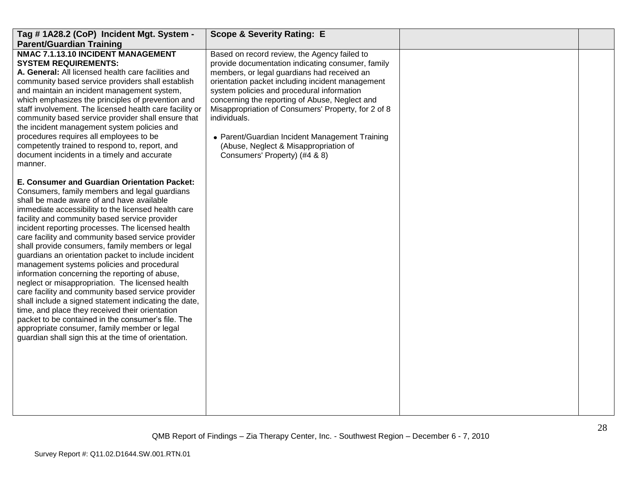| Tag #1A28.2 (CoP) Incident Mgt. System -<br><b>Parent/Guardian Training</b>                                                                                                                                                                                                                                                                                                                                                                                                                                                                                                                                                                                                                                                                                                                                                                                                                                                                                  | <b>Scope &amp; Severity Rating: E</b>                                                                                                                                                                                                                                                                                                                                                                                                                                                                   |  |
|--------------------------------------------------------------------------------------------------------------------------------------------------------------------------------------------------------------------------------------------------------------------------------------------------------------------------------------------------------------------------------------------------------------------------------------------------------------------------------------------------------------------------------------------------------------------------------------------------------------------------------------------------------------------------------------------------------------------------------------------------------------------------------------------------------------------------------------------------------------------------------------------------------------------------------------------------------------|---------------------------------------------------------------------------------------------------------------------------------------------------------------------------------------------------------------------------------------------------------------------------------------------------------------------------------------------------------------------------------------------------------------------------------------------------------------------------------------------------------|--|
| NMAC 7.1.13.10 INCIDENT MANAGEMENT<br><b>SYSTEM REQUIREMENTS:</b><br>A. General: All licensed health care facilities and<br>community based service providers shall establish<br>and maintain an incident management system,<br>which emphasizes the principles of prevention and<br>staff involvement. The licensed health care facility or<br>community based service provider shall ensure that<br>the incident management system policies and<br>procedures requires all employees to be<br>competently trained to respond to, report, and<br>document incidents in a timely and accurate<br>manner.                                                                                                                                                                                                                                                                                                                                                     | Based on record review, the Agency failed to<br>provide documentation indicating consumer, family<br>members, or legal guardians had received an<br>orientation packet including incident management<br>system policies and procedural information<br>concerning the reporting of Abuse, Neglect and<br>Misappropriation of Consumers' Property, for 2 of 8<br>individuals.<br>• Parent/Guardian Incident Management Training<br>(Abuse, Neglect & Misappropriation of<br>Consumers' Property) (#4 & 8) |  |
| E. Consumer and Guardian Orientation Packet:<br>Consumers, family members and legal guardians<br>shall be made aware of and have available<br>immediate accessibility to the licensed health care<br>facility and community based service provider<br>incident reporting processes. The licensed health<br>care facility and community based service provider<br>shall provide consumers, family members or legal<br>guardians an orientation packet to include incident<br>management systems policies and procedural<br>information concerning the reporting of abuse,<br>neglect or misappropriation. The licensed health<br>care facility and community based service provider<br>shall include a signed statement indicating the date,<br>time, and place they received their orientation<br>packet to be contained in the consumer's file. The<br>appropriate consumer, family member or legal<br>guardian shall sign this at the time of orientation. |                                                                                                                                                                                                                                                                                                                                                                                                                                                                                                         |  |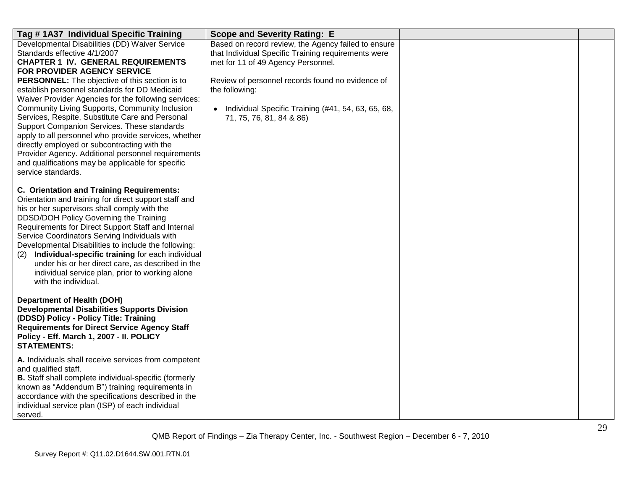| Tag #1A37 Individual Specific Training                                                                                                                                                                                                                                                                                                                                                                                                                                                                                                                                                                                                                                                                                    | <b>Scope and Severity Rating: E</b>                                                                                                                                                                                                                                                                      |  |
|---------------------------------------------------------------------------------------------------------------------------------------------------------------------------------------------------------------------------------------------------------------------------------------------------------------------------------------------------------------------------------------------------------------------------------------------------------------------------------------------------------------------------------------------------------------------------------------------------------------------------------------------------------------------------------------------------------------------------|----------------------------------------------------------------------------------------------------------------------------------------------------------------------------------------------------------------------------------------------------------------------------------------------------------|--|
| Developmental Disabilities (DD) Waiver Service<br>Standards effective 4/1/2007<br><b>CHAPTER 1 IV. GENERAL REQUIREMENTS</b><br>FOR PROVIDER AGENCY SERVICE<br><b>PERSONNEL:</b> The objective of this section is to<br>establish personnel standards for DD Medicaid<br>Waiver Provider Agencies for the following services:<br>Community Living Supports, Community Inclusion<br>Services, Respite, Substitute Care and Personal<br>Support Companion Services. These standards<br>apply to all personnel who provide services, whether<br>directly employed or subcontracting with the<br>Provider Agency. Additional personnel requirements<br>and qualifications may be applicable for specific<br>service standards. | Based on record review, the Agency failed to ensure<br>that Individual Specific Training requirements were<br>met for 11 of 49 Agency Personnel.<br>Review of personnel records found no evidence of<br>the following:<br>Individual Specific Training (#41, 54, 63, 65, 68,<br>71, 75, 76, 81, 84 & 86) |  |
| <b>C. Orientation and Training Requirements:</b><br>Orientation and training for direct support staff and<br>his or her supervisors shall comply with the<br>DDSD/DOH Policy Governing the Training<br>Requirements for Direct Support Staff and Internal<br>Service Coordinators Serving Individuals with<br>Developmental Disabilities to include the following:<br>Individual-specific training for each individual<br>(2)<br>under his or her direct care, as described in the<br>individual service plan, prior to working alone<br>with the individual.                                                                                                                                                             |                                                                                                                                                                                                                                                                                                          |  |
| <b>Department of Health (DOH)</b><br><b>Developmental Disabilities Supports Division</b><br>(DDSD) Policy - Policy Title: Training<br><b>Requirements for Direct Service Agency Staff</b><br>Policy - Eff. March 1, 2007 - II. POLICY<br><b>STATEMENTS:</b>                                                                                                                                                                                                                                                                                                                                                                                                                                                               |                                                                                                                                                                                                                                                                                                          |  |
| A. Individuals shall receive services from competent<br>and qualified staff.<br>B. Staff shall complete individual-specific (formerly<br>known as "Addendum B") training requirements in<br>accordance with the specifications described in the<br>individual service plan (ISP) of each individual<br>served.                                                                                                                                                                                                                                                                                                                                                                                                            |                                                                                                                                                                                                                                                                                                          |  |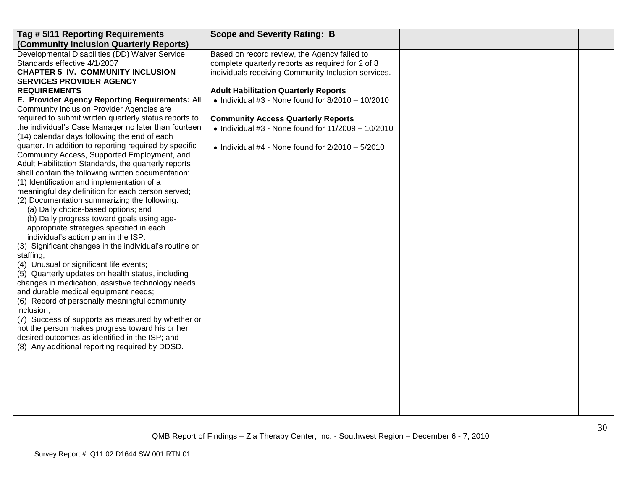| Tag # 5I11 Reporting Requirements                                                         | <b>Scope and Severity Rating: B</b>                        |  |
|-------------------------------------------------------------------------------------------|------------------------------------------------------------|--|
| (Community Inclusion Quarterly Reports)                                                   |                                                            |  |
| Developmental Disabilities (DD) Waiver Service                                            | Based on record review, the Agency failed to               |  |
| Standards effective 4/1/2007                                                              | complete quarterly reports as required for 2 of 8          |  |
| <b>CHAPTER 5 IV. COMMUNITY INCLUSION</b>                                                  | individuals receiving Community Inclusion services.        |  |
| <b>SERVICES PROVIDER AGENCY</b>                                                           |                                                            |  |
| <b>REQUIREMENTS</b>                                                                       | <b>Adult Habilitation Quarterly Reports</b>                |  |
| E. Provider Agency Reporting Requirements: All                                            | • Individual #3 - None found for $8/2010 - 10/2010$        |  |
| Community Inclusion Provider Agencies are                                                 |                                                            |  |
| required to submit written quarterly status reports to                                    | <b>Community Access Quarterly Reports</b>                  |  |
| the individual's Case Manager no later than fourteen                                      | $\bullet$ Individual #3 - None found for 11/2009 - 10/2010 |  |
| (14) calendar days following the end of each                                              |                                                            |  |
| quarter. In addition to reporting required by specific                                    | • Individual #4 - None found for $2/2010 - 5/2010$         |  |
| Community Access, Supported Employment, and                                               |                                                            |  |
| Adult Habilitation Standards, the quarterly reports                                       |                                                            |  |
| shall contain the following written documentation:                                        |                                                            |  |
| (1) Identification and implementation of a                                                |                                                            |  |
| meaningful day definition for each person served;                                         |                                                            |  |
| (2) Documentation summarizing the following:                                              |                                                            |  |
| (a) Daily choice-based options; and                                                       |                                                            |  |
| (b) Daily progress toward goals using age-                                                |                                                            |  |
| appropriate strategies specified in each                                                  |                                                            |  |
| individual's action plan in the ISP.                                                      |                                                            |  |
| (3) Significant changes in the individual's routine or                                    |                                                            |  |
| staffing;                                                                                 |                                                            |  |
| (4) Unusual or significant life events;                                                   |                                                            |  |
| (5) Quarterly updates on health status, including                                         |                                                            |  |
| changes in medication, assistive technology needs<br>and durable medical equipment needs; |                                                            |  |
|                                                                                           |                                                            |  |
| (6) Record of personally meaningful community<br>inclusion;                               |                                                            |  |
| (7) Success of supports as measured by whether or                                         |                                                            |  |
| not the person makes progress toward his or her                                           |                                                            |  |
| desired outcomes as identified in the ISP; and                                            |                                                            |  |
| (8) Any additional reporting required by DDSD.                                            |                                                            |  |
|                                                                                           |                                                            |  |
|                                                                                           |                                                            |  |
|                                                                                           |                                                            |  |
|                                                                                           |                                                            |  |
|                                                                                           |                                                            |  |
|                                                                                           |                                                            |  |
|                                                                                           |                                                            |  |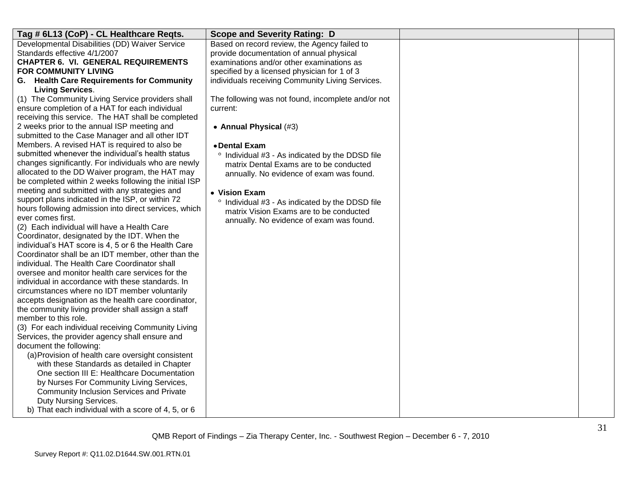| Tag # 6L13 (CoP) - CL Healthcare Reqts.               | <b>Scope and Severity Rating: D</b>                |  |
|-------------------------------------------------------|----------------------------------------------------|--|
| Developmental Disabilities (DD) Waiver Service        | Based on record review, the Agency failed to       |  |
| Standards effective 4/1/2007                          | provide documentation of annual physical           |  |
| <b>CHAPTER 6. VI. GENERAL REQUIREMENTS</b>            | examinations and/or other examinations as          |  |
| FOR COMMUNITY LIVING                                  | specified by a licensed physician for 1 of 3       |  |
| G. Health Care Requirements for Community             | individuals receiving Community Living Services.   |  |
| <b>Living Services.</b>                               |                                                    |  |
| (1) The Community Living Service providers shall      | The following was not found, incomplete and/or not |  |
| ensure completion of a HAT for each individual        | current:                                           |  |
| receiving this service. The HAT shall be completed    |                                                    |  |
| 2 weeks prior to the annual ISP meeting and           | • Annual Physical (#3)                             |  |
| submitted to the Case Manager and all other IDT       |                                                    |  |
| Members. A revised HAT is required to also be         | • Dental Exam                                      |  |
| submitted whenever the individual's health status     | ° Individual #3 - As indicated by the DDSD file    |  |
| changes significantly. For individuals who are newly  | matrix Dental Exams are to be conducted            |  |
| allocated to the DD Waiver program, the HAT may       | annually. No evidence of exam was found.           |  |
| be completed within 2 weeks following the initial ISP |                                                    |  |
| meeting and submitted with any strategies and         | • Vision Exam                                      |  |
| support plans indicated in the ISP, or within 72      | ° Individual #3 - As indicated by the DDSD file    |  |
| hours following admission into direct services, which | matrix Vision Exams are to be conducted            |  |
| ever comes first.                                     | annually. No evidence of exam was found.           |  |
| (2) Each individual will have a Health Care           |                                                    |  |
| Coordinator, designated by the IDT. When the          |                                                    |  |
| individual's HAT score is 4, 5 or 6 the Health Care   |                                                    |  |
| Coordinator shall be an IDT member, other than the    |                                                    |  |
| individual. The Health Care Coordinator shall         |                                                    |  |
| oversee and monitor health care services for the      |                                                    |  |
| individual in accordance with these standards. In     |                                                    |  |
| circumstances where no IDT member voluntarily         |                                                    |  |
| accepts designation as the health care coordinator,   |                                                    |  |
| the community living provider shall assign a staff    |                                                    |  |
| member to this role.                                  |                                                    |  |
| (3) For each individual receiving Community Living    |                                                    |  |
| Services, the provider agency shall ensure and        |                                                    |  |
| document the following:                               |                                                    |  |
| (a) Provision of health care oversight consistent     |                                                    |  |
| with these Standards as detailed in Chapter           |                                                    |  |
| One section III E: Healthcare Documentation           |                                                    |  |
| by Nurses For Community Living Services,              |                                                    |  |
| Community Inclusion Services and Private              |                                                    |  |
| Duty Nursing Services.                                |                                                    |  |
| b) That each individual with a score of 4, 5, or 6    |                                                    |  |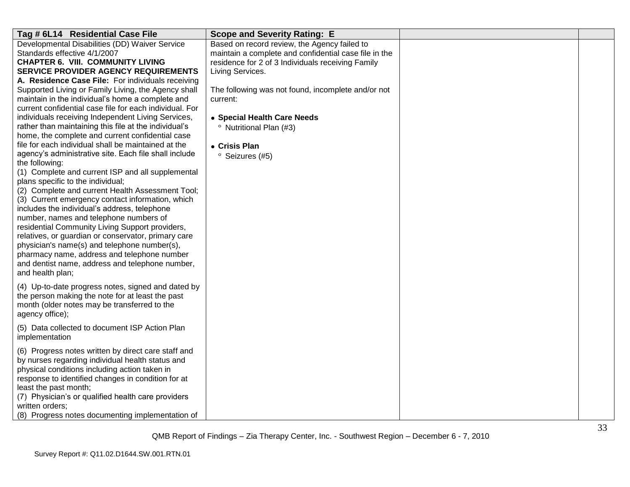| Tag # 6L14 Residential Case File                                                                                                                                                                                                                                                                                                                                                                                                                                                                                                                                                                                                                                                                                                                                                                                                                                                                                                                                                                                                                                                                                                                                | <b>Scope and Severity Rating: E</b>                                                                                                                                                                                                                                                                                                                                  |  |
|-----------------------------------------------------------------------------------------------------------------------------------------------------------------------------------------------------------------------------------------------------------------------------------------------------------------------------------------------------------------------------------------------------------------------------------------------------------------------------------------------------------------------------------------------------------------------------------------------------------------------------------------------------------------------------------------------------------------------------------------------------------------------------------------------------------------------------------------------------------------------------------------------------------------------------------------------------------------------------------------------------------------------------------------------------------------------------------------------------------------------------------------------------------------|----------------------------------------------------------------------------------------------------------------------------------------------------------------------------------------------------------------------------------------------------------------------------------------------------------------------------------------------------------------------|--|
| Developmental Disabilities (DD) Waiver Service<br>Standards effective 4/1/2007<br><b>CHAPTER 6. VIII. COMMUNITY LIVING</b><br><b>SERVICE PROVIDER AGENCY REQUIREMENTS</b><br>A. Residence Case File: For individuals receiving<br>Supported Living or Family Living, the Agency shall<br>maintain in the individual's home a complete and<br>current confidential case file for each individual. For<br>individuals receiving Independent Living Services,<br>rather than maintaining this file at the individual's<br>home, the complete and current confidential case<br>file for each individual shall be maintained at the<br>agency's administrative site. Each file shall include<br>the following:<br>(1) Complete and current ISP and all supplemental<br>plans specific to the individual;<br>(2) Complete and current Health Assessment Tool;<br>(3) Current emergency contact information, which<br>includes the individual's address, telephone<br>number, names and telephone numbers of<br>residential Community Living Support providers,<br>relatives, or guardian or conservator, primary care<br>physician's name(s) and telephone number(s), | Based on record review, the Agency failed to<br>maintain a complete and confidential case file in the<br>residence for 2 of 3 Individuals receiving Family<br>Living Services.<br>The following was not found, incomplete and/or not<br>current:<br>• Special Health Care Needs<br><sup>o</sup> Nutritional Plan (#3)<br>• Crisis Plan<br><sup>o</sup> Seizures (#5) |  |
| pharmacy name, address and telephone number<br>and dentist name, address and telephone number,<br>and health plan;                                                                                                                                                                                                                                                                                                                                                                                                                                                                                                                                                                                                                                                                                                                                                                                                                                                                                                                                                                                                                                              |                                                                                                                                                                                                                                                                                                                                                                      |  |
| (4) Up-to-date progress notes, signed and dated by<br>the person making the note for at least the past<br>month (older notes may be transferred to the<br>agency office);                                                                                                                                                                                                                                                                                                                                                                                                                                                                                                                                                                                                                                                                                                                                                                                                                                                                                                                                                                                       |                                                                                                                                                                                                                                                                                                                                                                      |  |
| (5) Data collected to document ISP Action Plan<br>implementation                                                                                                                                                                                                                                                                                                                                                                                                                                                                                                                                                                                                                                                                                                                                                                                                                                                                                                                                                                                                                                                                                                |                                                                                                                                                                                                                                                                                                                                                                      |  |
| (6) Progress notes written by direct care staff and<br>by nurses regarding individual health status and<br>physical conditions including action taken in<br>response to identified changes in condition for at<br>least the past month;<br>(7) Physician's or qualified health care providers<br>written orders:<br>(8) Progress notes documenting implementation of                                                                                                                                                                                                                                                                                                                                                                                                                                                                                                                                                                                                                                                                                                                                                                                            |                                                                                                                                                                                                                                                                                                                                                                      |  |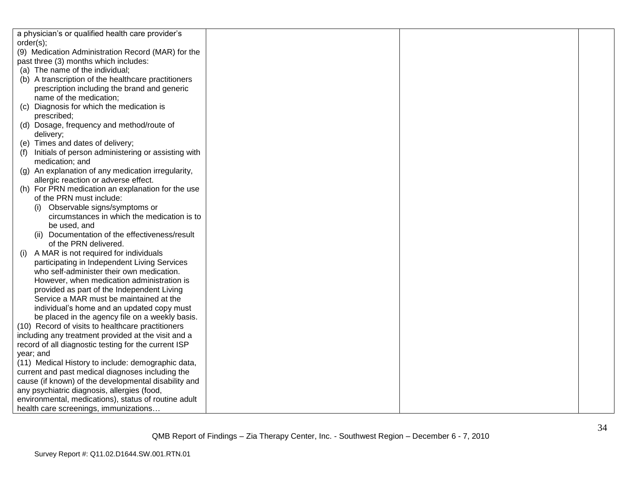|                 | a physician's or qualified health care provider's    |  |  |
|-----------------|------------------------------------------------------|--|--|
| order(s);       |                                                      |  |  |
|                 | (9) Medication Administration Record (MAR) for the   |  |  |
|                 | past three (3) months which includes:                |  |  |
|                 | (a) The name of the individual;                      |  |  |
|                 | (b) A transcription of the healthcare practitioners  |  |  |
|                 | prescription including the brand and generic         |  |  |
|                 | name of the medication;                              |  |  |
| (C)             | Diagnosis for which the medication is                |  |  |
| prescribed;     |                                                      |  |  |
|                 | (d) Dosage, frequency and method/route of            |  |  |
| delivery;       |                                                      |  |  |
|                 | (e) Times and dates of delivery;                     |  |  |
| (f)             | Initials of person administering or assisting with   |  |  |
| medication; and |                                                      |  |  |
|                 | (g) An explanation of any medication irregularity,   |  |  |
|                 | allergic reaction or adverse effect.                 |  |  |
|                 | (h) For PRN medication an explanation for the use    |  |  |
|                 | of the PRN must include:                             |  |  |
|                 | Observable signs/symptoms or                         |  |  |
|                 | circumstances in which the medication is to          |  |  |
| be used, and    |                                                      |  |  |
|                 | (ii) Documentation of the effectiveness/result       |  |  |
|                 | of the PRN delivered.                                |  |  |
| (i)             | A MAR is not required for individuals                |  |  |
|                 | participating in Independent Living Services         |  |  |
|                 | who self-administer their own medication.            |  |  |
|                 | However, when medication administration is           |  |  |
|                 | provided as part of the Independent Living           |  |  |
|                 | Service a MAR must be maintained at the              |  |  |
|                 | individual's home and an updated copy must           |  |  |
|                 | be placed in the agency file on a weekly basis.      |  |  |
|                 | (10) Record of visits to healthcare practitioners    |  |  |
|                 | including any treatment provided at the visit and a  |  |  |
|                 | record of all diagnostic testing for the current ISP |  |  |
| year; and       |                                                      |  |  |
|                 | (11) Medical History to include: demographic data,   |  |  |
|                 | current and past medical diagnoses including the     |  |  |
|                 | cause (if known) of the developmental disability and |  |  |
|                 | any psychiatric diagnosis, allergies (food,          |  |  |
|                 | environmental, medications), status of routine adult |  |  |
|                 | health care screenings, immunizations                |  |  |